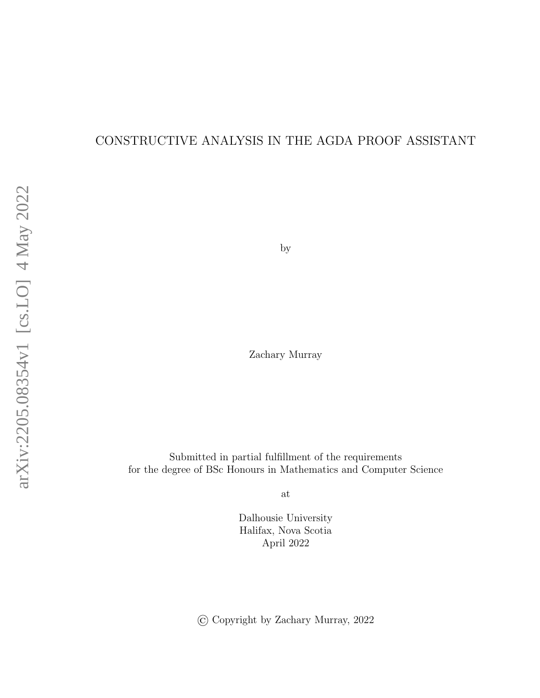# CONSTRUCTIVE ANALYSIS IN THE AGDA PROOF ASSISTANT

by

Zachary Murray

Submitted in partial fulfillment of the requirements for the degree of BSc Honours in Mathematics and Computer Science

at

Dalhousie University Halifax, Nova Scotia April 2022

© Copyright by Zachary Murray, 2022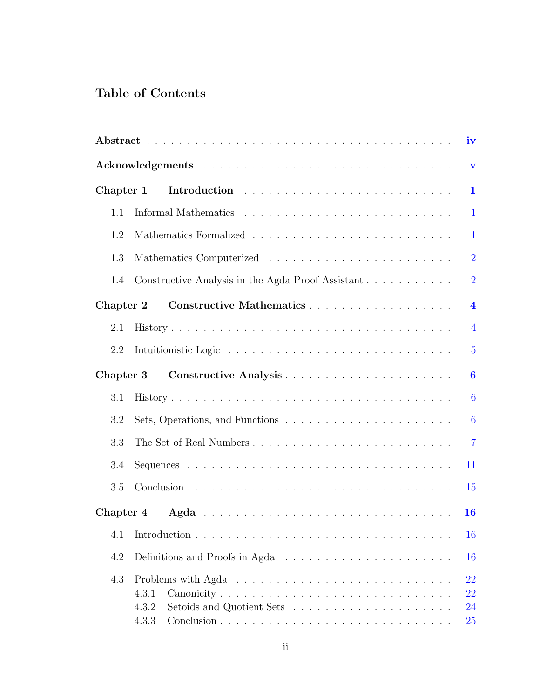# Table of Contents

| iv                                 |                          |                                                   |                         |  |  |  |  |  |
|------------------------------------|--------------------------|---------------------------------------------------|-------------------------|--|--|--|--|--|
|                                    |                          |                                                   | $\mathbf{V}$            |  |  |  |  |  |
|                                    | Chapter 1<br>$\mathbf 1$ |                                                   |                         |  |  |  |  |  |
|                                    | 1.1                      |                                                   | $\mathbf{1}$            |  |  |  |  |  |
|                                    | 1.2                      |                                                   | $\mathbf{1}$            |  |  |  |  |  |
|                                    | 1.3                      |                                                   | $\overline{2}$          |  |  |  |  |  |
|                                    | 1.4                      | Constructive Analysis in the Agda Proof Assistant | $\overline{2}$          |  |  |  |  |  |
|                                    | Chapter 2                |                                                   | $\overline{\mathbf{4}}$ |  |  |  |  |  |
|                                    | 2.1                      |                                                   | $\overline{4}$          |  |  |  |  |  |
|                                    | 2.2                      |                                                   | $\overline{5}$          |  |  |  |  |  |
| Chapter 3<br>Constructive Analysis |                          |                                                   |                         |  |  |  |  |  |
|                                    | 3.1                      |                                                   | $\boldsymbol{6}$        |  |  |  |  |  |
|                                    | 3.2                      |                                                   | $\boldsymbol{6}$        |  |  |  |  |  |
|                                    | 3.3                      |                                                   | $\overline{7}$          |  |  |  |  |  |
|                                    | 3.4                      |                                                   | 11                      |  |  |  |  |  |
|                                    | 3.5                      |                                                   | 15                      |  |  |  |  |  |
|                                    | Chapter 4                |                                                   | 16                      |  |  |  |  |  |
|                                    | 4.1                      |                                                   | 16                      |  |  |  |  |  |
|                                    | 4.2                      |                                                   | 16                      |  |  |  |  |  |
| 4.3                                |                          |                                                   | 22                      |  |  |  |  |  |
|                                    |                          | 4.3.1                                             | 22                      |  |  |  |  |  |
|                                    |                          | 4.3.2<br>4.3.3                                    | 24<br>25                |  |  |  |  |  |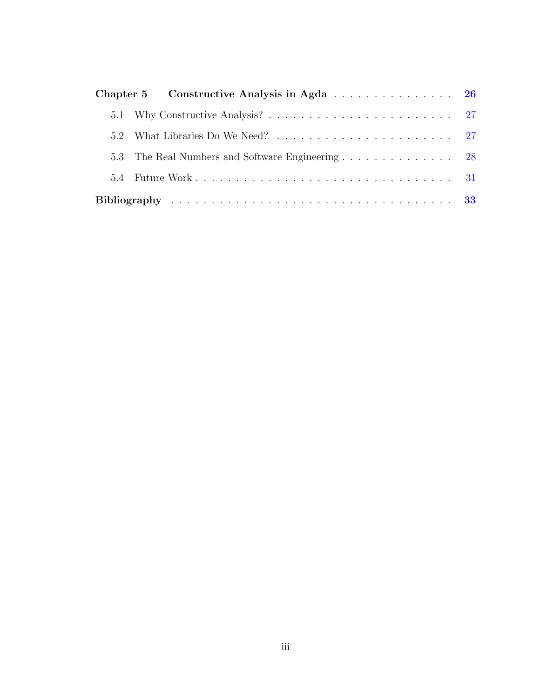|  | Chapter 5 Constructive Analysis in Agda 26       |  |  |  |  |
|--|--------------------------------------------------|--|--|--|--|
|  |                                                  |  |  |  |  |
|  |                                                  |  |  |  |  |
|  | 5.3 The Real Numbers and Software Engineering 28 |  |  |  |  |
|  |                                                  |  |  |  |  |
|  |                                                  |  |  |  |  |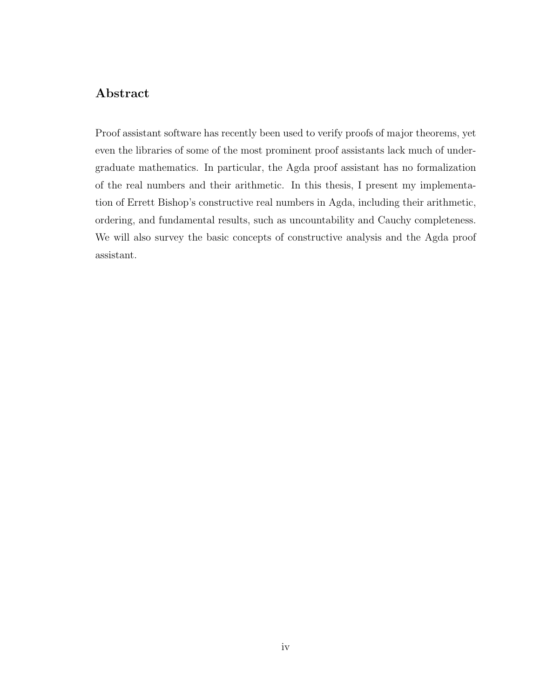# <span id="page-3-0"></span>Abstract

Proof assistant software has recently been used to verify proofs of major theorems, yet even the libraries of some of the most prominent proof assistants lack much of undergraduate mathematics. In particular, the Agda proof assistant has no formalization of the real numbers and their arithmetic. In this thesis, I present my implementation of Errett Bishop's constructive real numbers in Agda, including their arithmetic, ordering, and fundamental results, such as uncountability and Cauchy completeness. We will also survey the basic concepts of constructive analysis and the Agda proof assistant.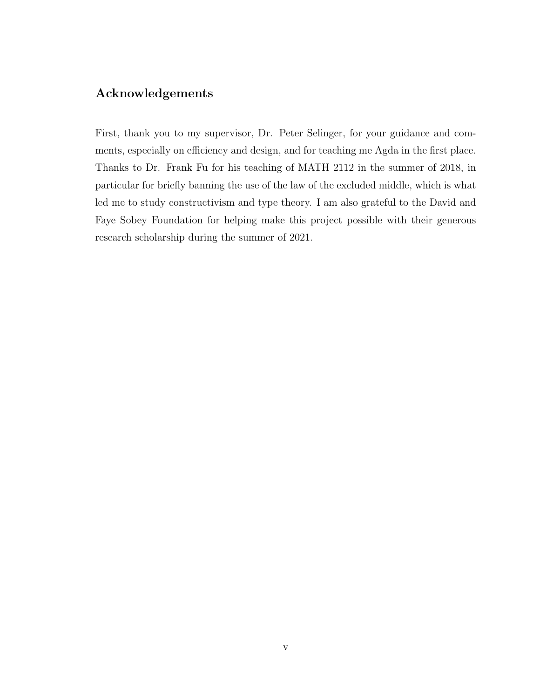# <span id="page-4-0"></span>Acknowledgements

First, thank you to my supervisor, Dr. Peter Selinger, for your guidance and comments, especially on efficiency and design, and for teaching me Agda in the first place. Thanks to Dr. Frank Fu for his teaching of MATH 2112 in the summer of 2018, in particular for briefly banning the use of the law of the excluded middle, which is what led me to study constructivism and type theory. I am also grateful to the David and Faye Sobey Foundation for helping make this project possible with their generous research scholarship during the summer of 2021.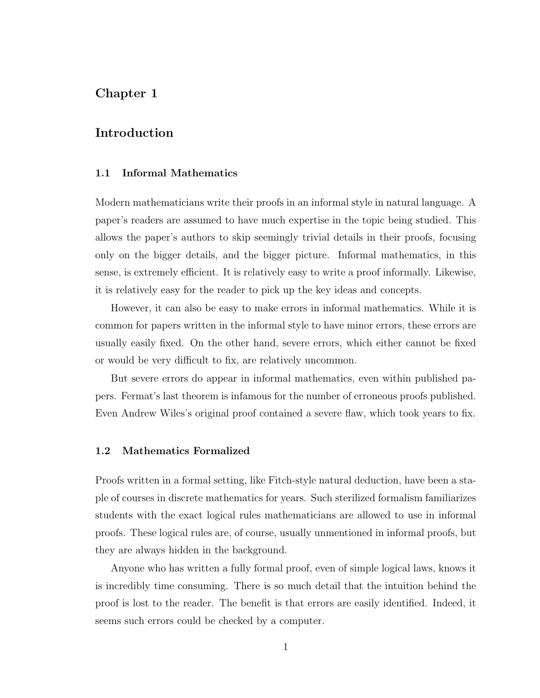# <span id="page-5-0"></span>Chapter 1

# Introduction

## <span id="page-5-1"></span>1.1 Informal Mathematics

Modern mathematicians write their proofs in an informal style in natural language. A paper's readers are assumed to have much expertise in the topic being studied. This allows the paper's authors to skip seemingly trivial details in their proofs, focusing only on the bigger details, and the bigger picture. Informal mathematics, in this sense, is extremely efficient. It is relatively easy to write a proof informally. Likewise, it is relatively easy for the reader to pick up the key ideas and concepts.

However, it can also be easy to make errors in informal mathematics. While it is common for papers written in the informal style to have minor errors, these errors are usually easily fixed. On the other hand, severe errors, which either cannot be fixed or would be very difficult to fix, are relatively uncommon.

But severe errors do appear in informal mathematics, even within published papers. Fermat's last theorem is infamous for the number of erroneous proofs published. Even Andrew Wiles's original proof contained a severe flaw, which took years to fix.

## <span id="page-5-2"></span>1.2 Mathematics Formalized

Proofs written in a formal setting, like Fitch-style natural deduction, have been a staple of courses in discrete mathematics for years. Such sterilized formalism familiarizes students with the exact logical rules mathematicians are allowed to use in informal proofs. These logical rules are, of course, usually unmentioned in informal proofs, but they are always hidden in the background.

Anyone who has written a fully formal proof, even of simple logical laws, knows it is incredibly time consuming. There is so much detail that the intuition behind the proof is lost to the reader. The benefit is that errors are easily identified. Indeed, it seems such errors could be checked by a computer.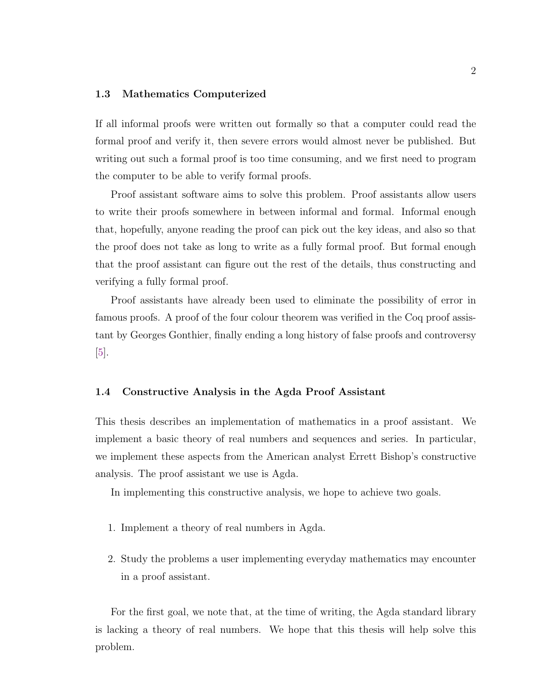## <span id="page-6-0"></span>1.3 Mathematics Computerized

If all informal proofs were written out formally so that a computer could read the formal proof and verify it, then severe errors would almost never be published. But writing out such a formal proof is too time consuming, and we first need to program the computer to be able to verify formal proofs.

Proof assistant software aims to solve this problem. Proof assistants allow users to write their proofs somewhere in between informal and formal. Informal enough that, hopefully, anyone reading the proof can pick out the key ideas, and also so that the proof does not take as long to write as a fully formal proof. But formal enough that the proof assistant can figure out the rest of the details, thus constructing and verifying a fully formal proof.

Proof assistants have already been used to eliminate the possibility of error in famous proofs. A proof of the four colour theorem was verified in the Coq proof assistant by Georges Gonthier, finally ending a long history of false proofs and controversy [\[5\]](#page-37-1).

## <span id="page-6-1"></span>1.4 Constructive Analysis in the Agda Proof Assistant

This thesis describes an implementation of mathematics in a proof assistant. We implement a basic theory of real numbers and sequences and series. In particular, we implement these aspects from the American analyst Errett Bishop's constructive analysis. The proof assistant we use is Agda.

In implementing this constructive analysis, we hope to achieve two goals.

- 1. Implement a theory of real numbers in Agda.
- 2. Study the problems a user implementing everyday mathematics may encounter in a proof assistant.

For the first goal, we note that, at the time of writing, the Agda standard library is lacking a theory of real numbers. We hope that this thesis will help solve this problem.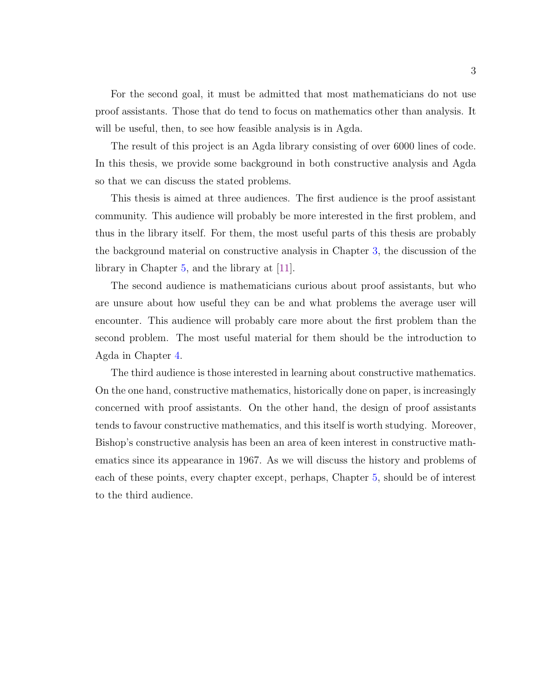For the second goal, it must be admitted that most mathematicians do not use proof assistants. Those that do tend to focus on mathematics other than analysis. It will be useful, then, to see how feasible analysis is in Agda.

The result of this project is an Agda library consisting of over 6000 lines of code. In this thesis, we provide some background in both constructive analysis and Agda so that we can discuss the stated problems.

This thesis is aimed at three audiences. The first audience is the proof assistant community. This audience will probably be more interested in the first problem, and thus in the library itself. For them, the most useful parts of this thesis are probably the background material on constructive analysis in Chapter [3,](#page-10-0) the discussion of the library in Chapter [5,](#page-30-0) and the library at [\[11\]](#page-37-2).

The second audience is mathematicians curious about proof assistants, but who are unsure about how useful they can be and what problems the average user will encounter. This audience will probably care more about the first problem than the second problem. The most useful material for them should be the introduction to Agda in Chapter [4.](#page-20-0)

The third audience is those interested in learning about constructive mathematics. On the one hand, constructive mathematics, historically done on paper, is increasingly concerned with proof assistants. On the other hand, the design of proof assistants tends to favour constructive mathematics, and this itself is worth studying. Moreover, Bishop's constructive analysis has been an area of keen interest in constructive mathematics since its appearance in 1967. As we will discuss the history and problems of each of these points, every chapter except, perhaps, Chapter [5,](#page-30-0) should be of interest to the third audience.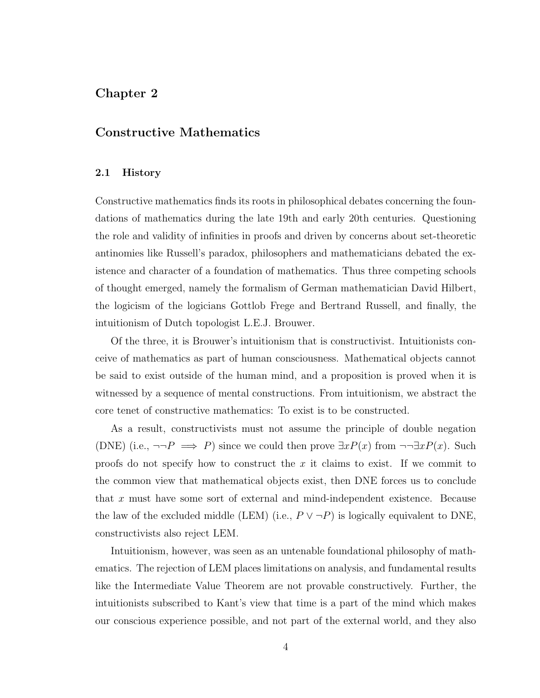# <span id="page-8-0"></span>Chapter 2

# Constructive Mathematics

## <span id="page-8-1"></span>2.1 History

Constructive mathematics finds its roots in philosophical debates concerning the foundations of mathematics during the late 19th and early 20th centuries. Questioning the role and validity of infinities in proofs and driven by concerns about set-theoretic antinomies like Russell's paradox, philosophers and mathematicians debated the existence and character of a foundation of mathematics. Thus three competing schools of thought emerged, namely the formalism of German mathematician David Hilbert, the logicism of the logicians Gottlob Frege and Bertrand Russell, and finally, the intuitionism of Dutch topologist L.E.J. Brouwer.

Of the three, it is Brouwer's intuitionism that is constructivist. Intuitionists conceive of mathematics as part of human consciousness. Mathematical objects cannot be said to exist outside of the human mind, and a proposition is proved when it is witnessed by a sequence of mental constructions. From intuitionism, we abstract the core tenet of constructive mathematics: To exist is to be constructed.

As a result, constructivists must not assume the principle of double negation (DNE) (i.e.,  $\neg \neg P \implies P$ ) since we could then prove  $\exists x P(x)$  from  $\neg \neg \exists x P(x)$ . Such proofs do not specify how to construct the  $x$  it claims to exist. If we commit to the common view that mathematical objects exist, then DNE forces us to conclude that x must have some sort of external and mind-independent existence. Because the law of the excluded middle (LEM) (i.e.,  $P \vee \neg P$ ) is logically equivalent to DNE, constructivists also reject LEM.

Intuitionism, however, was seen as an untenable foundational philosophy of mathematics. The rejection of LEM places limitations on analysis, and fundamental results like the Intermediate Value Theorem are not provable constructively. Further, the intuitionists subscribed to Kant's view that time is a part of the mind which makes our conscious experience possible, and not part of the external world, and they also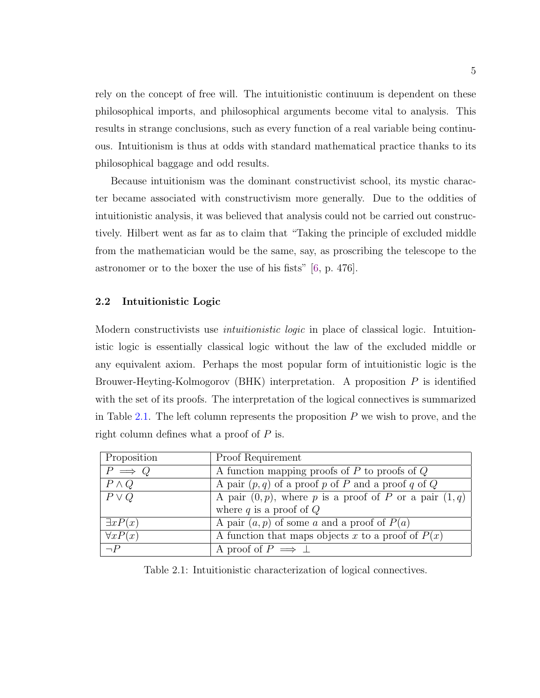rely on the concept of free will. The intuitionistic continuum is dependent on these philosophical imports, and philosophical arguments become vital to analysis. This results in strange conclusions, such as every function of a real variable being continuous. Intuitionism is thus at odds with standard mathematical practice thanks to its philosophical baggage and odd results.

Because intuitionism was the dominant constructivist school, its mystic character became associated with constructivism more generally. Due to the oddities of intuitionistic analysis, it was believed that analysis could not be carried out constructively. Hilbert went as far as to claim that "Taking the principle of excluded middle from the mathematician would be the same, say, as proscribing the telescope to the astronomer or to the boxer the use of his fists" [\[6,](#page-37-3) p. 476].

## <span id="page-9-0"></span>2.2 Intuitionistic Logic

Modern constructivists use *intuitionistic logic* in place of classical logic. Intuitionistic logic is essentially classical logic without the law of the excluded middle or any equivalent axiom. Perhaps the most popular form of intuitionistic logic is the Brouwer-Heyting-Kolmogorov (BHK) interpretation. A proposition P is identified with the set of its proofs. The interpretation of the logical connectives is summarized in Table [2.1.](#page-9-1) The left column represents the proposition  $P$  we wish to prove, and the right column defines what a proof of P is.

| Proposition      | Proof Requirement                                            |
|------------------|--------------------------------------------------------------|
| $P \implies Q$   | A function mapping proofs of $P$ to proofs of $Q$            |
| $P \wedge Q$     | A pair $(p, q)$ of a proof p of P and a proof q of Q         |
| $P \vee Q$       | A pair $(0, p)$ , where p is a proof of P or a pair $(1, q)$ |
|                  | where q is a proof of $Q$                                    |
| $\exists x P(x)$ | A pair $(a, p)$ of some a and a proof of $P(a)$              |
| $\forall x P(x)$ | A function that maps objects x to a proof of $P(x)$          |
| $\neg P$         | A proof of $P \implies \bot$                                 |

<span id="page-9-1"></span>Table 2.1: Intuitionistic characterization of logical connectives.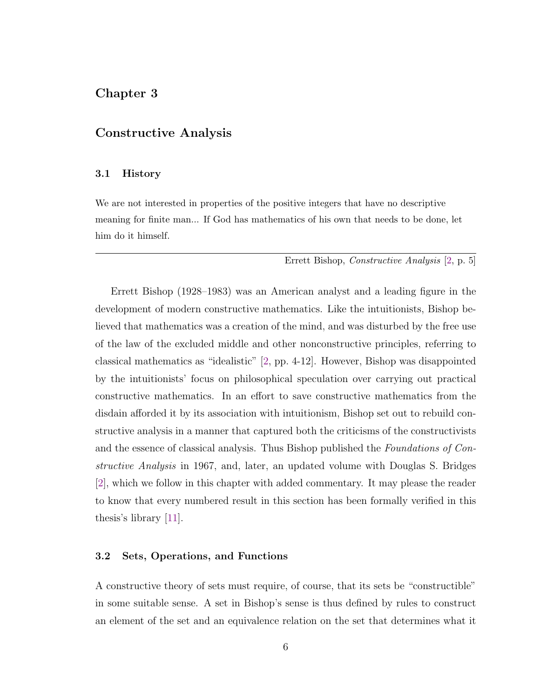# <span id="page-10-0"></span>Chapter 3

# Constructive Analysis

## <span id="page-10-1"></span>3.1 History

We are not interested in properties of the positive integers that have no descriptive meaning for finite man... If God has mathematics of his own that needs to be done, let him do it himself.

Errett Bishop, Constructive Analysis [\[2,](#page-37-4) p. 5]

Errett Bishop (1928–1983) was an American analyst and a leading figure in the development of modern constructive mathematics. Like the intuitionists, Bishop believed that mathematics was a creation of the mind, and was disturbed by the free use of the law of the excluded middle and other nonconstructive principles, referring to classical mathematics as "idealistic" [\[2,](#page-37-4) pp. 4-12]. However, Bishop was disappointed by the intuitionists' focus on philosophical speculation over carrying out practical constructive mathematics. In an effort to save constructive mathematics from the disdain afforded it by its association with intuitionism, Bishop set out to rebuild constructive analysis in a manner that captured both the criticisms of the constructivists and the essence of classical analysis. Thus Bishop published the Foundations of Constructive Analysis in 1967, and, later, an updated volume with Douglas S. Bridges [\[2\]](#page-37-4), which we follow in this chapter with added commentary. It may please the reader to know that every numbered result in this section has been formally verified in this thesis's library [\[11\]](#page-37-2).

## <span id="page-10-2"></span>3.2 Sets, Operations, and Functions

A constructive theory of sets must require, of course, that its sets be "constructible" in some suitable sense. A set in Bishop's sense is thus defined by rules to construct an element of the set and an equivalence relation on the set that determines what it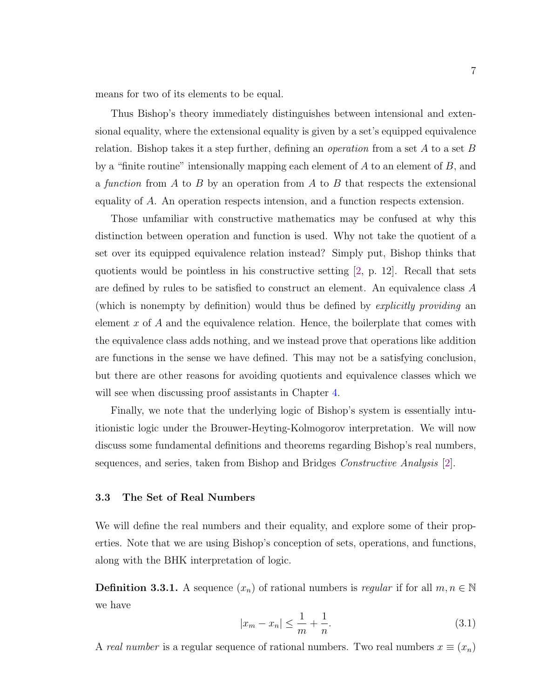means for two of its elements to be equal.

Thus Bishop's theory immediately distinguishes between intensional and extensional equality, where the extensional equality is given by a set's equipped equivalence relation. Bishop takes it a step further, defining an *operation* from a set  $A$  to a set  $B$ by a "finite routine" intensionally mapping each element of  $A$  to an element of  $B$ , and a function from  $A$  to  $B$  by an operation from  $A$  to  $B$  that respects the extensional equality of A. An operation respects intension, and a function respects extension.

Those unfamiliar with constructive mathematics may be confused at why this distinction between operation and function is used. Why not take the quotient of a set over its equipped equivalence relation instead? Simply put, Bishop thinks that quotients would be pointless in his constructive setting [\[2,](#page-37-4) p. 12]. Recall that sets are defined by rules to be satisfied to construct an element. An equivalence class A (which is nonempty by definition) would thus be defined by explicitly providing an element  $x$  of  $A$  and the equivalence relation. Hence, the boilerplate that comes with the equivalence class adds nothing, and we instead prove that operations like addition are functions in the sense we have defined. This may not be a satisfying conclusion, but there are other reasons for avoiding quotients and equivalence classes which we will see when discussing proof assistants in Chapter [4.](#page-20-0)

Finally, we note that the underlying logic of Bishop's system is essentially intuitionistic logic under the Brouwer-Heyting-Kolmogorov interpretation. We will now discuss some fundamental definitions and theorems regarding Bishop's real numbers, sequences, and series, taken from Bishop and Bridges Constructive Analysis [\[2\]](#page-37-4).

## <span id="page-11-0"></span>3.3 The Set of Real Numbers

We will define the real numbers and their equality, and explore some of their properties. Note that we are using Bishop's conception of sets, operations, and functions, along with the BHK interpretation of logic.

<span id="page-11-1"></span>**Definition 3.3.1.** A sequence  $(x_n)$  of rational numbers is *regular* if for all  $m, n \in \mathbb{N}$ we have

$$
|x_m - x_n| \le \frac{1}{m} + \frac{1}{n}.\tag{3.1}
$$

A real number is a regular sequence of rational numbers. Two real numbers  $x \equiv (x_n)$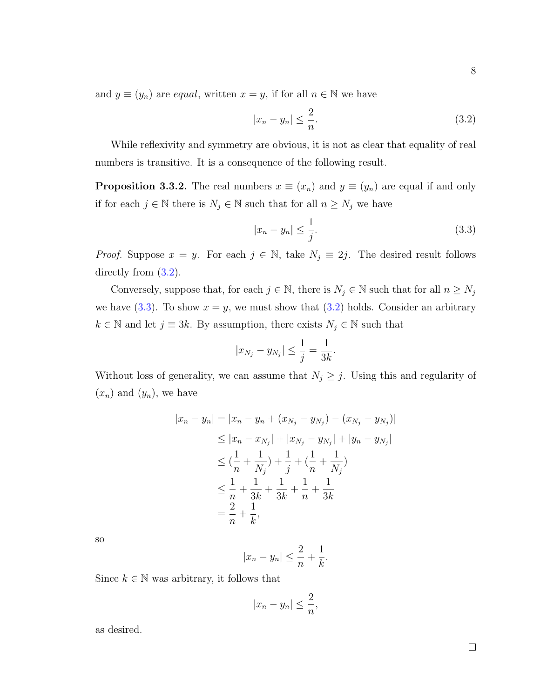and  $y \equiv (y_n)$  are *equal*, written  $x = y$ , if for all  $n \in \mathbb{N}$  we have

<span id="page-12-0"></span>
$$
|x_n - y_n| \le \frac{2}{n}.\tag{3.2}
$$

While reflexivity and symmetry are obvious, it is not as clear that equality of real numbers is transitive. It is a consequence of the following result.

<span id="page-12-2"></span>**Proposition 3.3.2.** The real numbers  $x \equiv (x_n)$  and  $y \equiv (y_n)$  are equal if and only if for each  $j \in \mathbb{N}$  there is  $N_j \in \mathbb{N}$  such that for all  $n \geq N_j$  we have

<span id="page-12-1"></span>
$$
|x_n - y_n| \le \frac{1}{j}.\tag{3.3}
$$

*Proof.* Suppose  $x = y$ . For each  $j \in \mathbb{N}$ , take  $N_j \equiv 2j$ . The desired result follows directly from  $(3.2)$ .

Conversely, suppose that, for each  $j \in \mathbb{N}$ , there is  $N_j \in \mathbb{N}$  such that for all  $n \ge N_j$ we have [\(3.3\)](#page-12-1). To show  $x = y$ , we must show that [\(3.2\)](#page-12-0) holds. Consider an arbitrary  $k \in \mathbb{N}$  and let  $j \equiv 3k$ . By assumption, there exists  $N_j \in \mathbb{N}$  such that

$$
|x_{N_j} - y_{N_j}| \le \frac{1}{j} = \frac{1}{3k}.
$$

Without loss of generality, we can assume that  $N_j \geq j$ . Using this and regularity of  $(x_n)$  and  $(y_n)$ , we have

$$
|x_n - y_n| = |x_n - y_n + (x_{N_j} - y_{N_j}) - (x_{N_j} - y_{N_j})|
$$
  
\n
$$
\leq |x_n - x_{N_j}| + |x_{N_j} - y_{N_j}| + |y_n - y_{N_j}|
$$
  
\n
$$
\leq (\frac{1}{n} + \frac{1}{N_j}) + \frac{1}{j} + (\frac{1}{n} + \frac{1}{N_j})
$$
  
\n
$$
\leq \frac{1}{n} + \frac{1}{3k} + \frac{1}{3k} + \frac{1}{n} + \frac{1}{3k}
$$
  
\n
$$
= \frac{2}{n} + \frac{1}{k},
$$

so

$$
|x_n - y_n| \le \frac{2}{n} + \frac{1}{k}.
$$

Since  $k \in \mathbb{N}$  was arbitrary, it follows that

$$
|x_n - y_n| \le \frac{2}{n},
$$

as desired.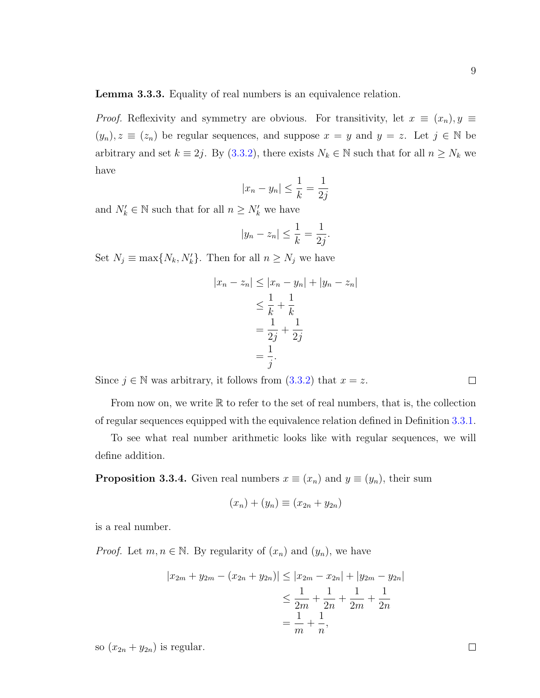Lemma 3.3.3. Equality of real numbers is an equivalence relation.

*Proof.* Reflexivity and symmetry are obvious. For transitivity, let  $x \equiv (x_n), y \equiv$  $(y_n)$ ,  $z \equiv (z_n)$  be regular sequences, and suppose  $x = y$  and  $y = z$ . Let  $j \in \mathbb{N}$  be arbitrary and set  $k \equiv 2j$ . By [\(3.3.2\)](#page-12-2), there exists  $N_k \in \mathbb{N}$  such that for all  $n \geq N_k$  we have

$$
|x_n - y_n| \le \frac{1}{k} = \frac{1}{2j}
$$

and  $N'_k \in \mathbb{N}$  such that for all  $n \geq N'_k$  we have

$$
|y_n - z_n| \le \frac{1}{k} = \frac{1}{2j}.
$$

Set  $N_j \equiv \max\{N_k, N'_k\}$ . Then for all  $n \ge N_j$  we have

$$
|x_n - z_n| \le |x_n - y_n| + |y_n - z_n|
$$
  
\n
$$
\le \frac{1}{k} + \frac{1}{k}
$$
  
\n
$$
= \frac{1}{2j} + \frac{1}{2j}
$$
  
\n
$$
= \frac{1}{j}.
$$

Since  $j \in \mathbb{N}$  was arbitrary, it follows from  $(3.3.2)$  that  $x = z$ .

From now on, we write  $\mathbb R$  to refer to the set of real numbers, that is, the collection of regular sequences equipped with the equivalence relation defined in Definition [3.3.1.](#page-11-1)

To see what real number arithmetic looks like with regular sequences, we will define addition.

**Proposition 3.3.4.** Given real numbers  $x \equiv (x_n)$  and  $y \equiv (y_n)$ , their sum

$$
(x_n) + (y_n) \equiv (x_{2n} + y_{2n})
$$

is a real number.

*Proof.* Let  $m, n \in \mathbb{N}$ . By regularity of  $(x_n)$  and  $(y_n)$ , we have

$$
|x_{2m} + y_{2m} - (x_{2n} + y_{2n})| \le |x_{2m} - x_{2n}| + |y_{2m} - y_{2n}|
$$
  

$$
\le \frac{1}{2m} + \frac{1}{2n} + \frac{1}{2m} + \frac{1}{2n}
$$
  

$$
= \frac{1}{m} + \frac{1}{n},
$$

so  $(x_{2n} + y_{2n})$  is regular.

 $\Box$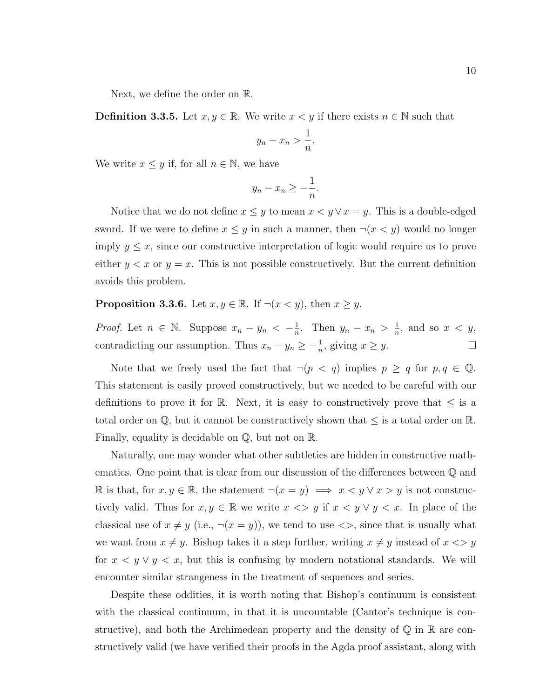Next, we define the order on R.

**Definition 3.3.5.** Let  $x, y \in \mathbb{R}$ . We write  $x < y$  if there exists  $n \in \mathbb{N}$  such that

$$
y_n - x_n > \frac{1}{n}.
$$

We write  $x \leq y$  if, for all  $n \in \mathbb{N}$ , we have

$$
y_n - x_n \ge -\frac{1}{n}.
$$

Notice that we do not define  $x \leq y$  to mean  $x < y \vee x = y$ . This is a double-edged sword. If we were to define  $x \leq y$  in such a manner, then  $\neg(x < y)$  would no longer imply  $y \leq x$ , since our constructive interpretation of logic would require us to prove either  $y < x$  or  $y = x$ . This is not possible constructively. But the current definition avoids this problem.

# **Proposition 3.3.6.** Let  $x, y \in \mathbb{R}$ . If  $\neg(x < y)$ , then  $x \geq y$ .

*Proof.* Let  $n \in \mathbb{N}$ . Suppose  $x_n - y_n < -\frac{1}{n}$  $\frac{1}{n}$ . Then  $y_n - x_n > \frac{1}{n}$  $\frac{1}{n}$ , and so  $x < y$ , contradicting our assumption. Thus  $x_n - y_n \geq -\frac{1}{n}$ , giving  $x \geq y$ .  $\Box$ 

Note that we freely used the fact that  $\neg (p \lt q)$  implies  $p \ge q$  for  $p, q \in \mathbb{Q}$ . This statement is easily proved constructively, but we needed to be careful with our definitions to prove it for R. Next, it is easy to constructively prove that  $\leq$  is a total order on  $\mathbb{Q}$ , but it cannot be constructively shown that  $\leq$  is a total order on  $\mathbb{R}$ . Finally, equality is decidable on Q, but not on R.

Naturally, one may wonder what other subtleties are hidden in constructive mathematics. One point that is clear from our discussion of the differences between Q and R is that, for  $x, y \in \mathbb{R}$ , the statement  $\neg(x = y) \implies x < y \lor x > y$  is not constructively valid. Thus for  $x, y \in \mathbb{R}$  we write  $x \iff y$  if  $x \iff y \lor y \iff x$ . In place of the classical use of  $x \neq y$  (i.e.,  $\neg(x = y)$ ), we tend to use  $\langle \rangle$ , since that is usually what we want from  $x \neq y$ . Bishop takes it a step further, writing  $x \neq y$  instead of  $x \ll y$ for  $x < y \vee y < x$ , but this is confusing by modern notational standards. We will encounter similar strangeness in the treatment of sequences and series.

Despite these oddities, it is worth noting that Bishop's continuum is consistent with the classical continuum, in that it is uncountable (Cantor's technique is constructive), and both the Archimedean property and the density of  $\mathbb Q$  in  $\mathbb R$  are constructively valid (we have verified their proofs in the Agda proof assistant, along with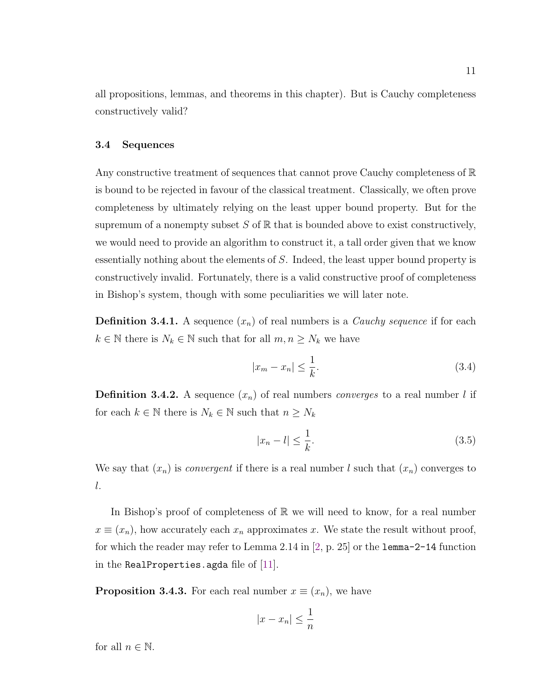all propositions, lemmas, and theorems in this chapter). But is Cauchy completeness constructively valid?

## <span id="page-15-0"></span>3.4 Sequences

Any constructive treatment of sequences that cannot prove Cauchy completeness of R is bound to be rejected in favour of the classical treatment. Classically, we often prove completeness by ultimately relying on the least upper bound property. But for the supremum of a nonempty subset  $S$  of  $\mathbb R$  that is bounded above to exist constructively, we would need to provide an algorithm to construct it, a tall order given that we know essentially nothing about the elements of S. Indeed, the least upper bound property is constructively invalid. Fortunately, there is a valid constructive proof of completeness in Bishop's system, though with some peculiarities we will later note.

<span id="page-15-1"></span>**Definition 3.4.1.** A sequence  $(x_n)$  of real numbers is a *Cauchy sequence* if for each  $k \in \mathbb{N}$  there is  $N_k \in \mathbb{N}$  such that for all  $m, n \ge N_k$  we have

$$
|x_m - x_n| \le \frac{1}{k}.\tag{3.4}
$$

**Definition 3.4.2.** A sequence  $(x_n)$  of real numbers *converges* to a real number l if for each  $k \in \mathbb{N}$  there is  $N_k \in \mathbb{N}$  such that  $n \geq N_k$ 

$$
|x_n - l| \le \frac{1}{k}.\tag{3.5}
$$

We say that  $(x_n)$  is *convergent* if there is a real number l such that  $(x_n)$  converges to l.

In Bishop's proof of completeness of  $\mathbb R$  we will need to know, for a real number  $x \equiv (x_n)$ , how accurately each  $x_n$  approximates x. We state the result without proof, for which the reader may refer to Lemma 2.14 in [\[2,](#page-37-4) p. 25] or the lemma-2-14 function in the RealProperties.agda file of  $|11|$ .

<span id="page-15-2"></span>**Proposition 3.4.3.** For each real number  $x \equiv (x_n)$ , we have

$$
|x - x_n| \le \frac{1}{n}
$$

for all  $n \in \mathbb{N}$ .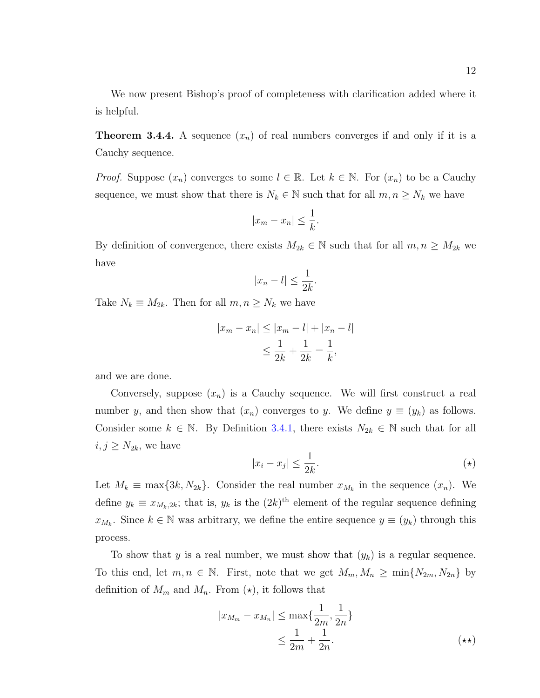**Theorem 3.4.4.** A sequence  $(x_n)$  of real numbers converges if and only if it is a Cauchy sequence.

*Proof.* Suppose  $(x_n)$  converges to some  $l \in \mathbb{R}$ . Let  $k \in \mathbb{N}$ . For  $(x_n)$  to be a Cauchy sequence, we must show that there is  $N_k \in \mathbb{N}$  such that for all  $m, n \ge N_k$  we have

$$
|x_m - x_n| \le \frac{1}{k}.
$$

By definition of convergence, there exists  $M_{2k} \in \mathbb{N}$  such that for all  $m, n \geq M_{2k}$  we have

$$
|x_n - l| \le \frac{1}{2k}
$$

.

Take  $N_k \equiv M_{2k}$ . Then for all  $m, n \ge N_k$  we have

$$
|x_m - x_n| \le |x_m - l| + |x_n - l|
$$
  

$$
\le \frac{1}{2k} + \frac{1}{2k} = \frac{1}{k},
$$

and we are done.

Conversely, suppose  $(x_n)$  is a Cauchy sequence. We will first construct a real number y, and then show that  $(x_n)$  converges to y. We define  $y \equiv (y_k)$  as follows. Consider some  $k \in \mathbb{N}$ . By Definition [3.4.1,](#page-15-1) there exists  $N_{2k} \in \mathbb{N}$  such that for all  $i, j \geq N_{2k}$ , we have

$$
|x_i - x_j| \le \frac{1}{2k}.\tag{(*)}
$$

Let  $M_k \equiv \max\{3k, N_{2k}\}.$  Consider the real number  $x_{M_k}$  in the sequence  $(x_n)$ . We define  $y_k \equiv x_{M_k,2k}$ ; that is,  $y_k$  is the  $(2k)$ <sup>th</sup> element of the regular sequence defining  $x_{M_k}$ . Since  $k \in \mathbb{N}$  was arbitrary, we define the entire sequence  $y \equiv (y_k)$  through this process.

To show that y is a real number, we must show that  $(y_k)$  is a regular sequence. To this end, let  $m, n \in \mathbb{N}$ . First, note that we get  $M_m, M_n \ge \min\{N_{2m}, N_{2n}\}\$  by definition of  $M_m$  and  $M_n$ . From  $(\star)$ , it follows that

$$
|x_{M_m} - x_{M_n}| \le \max\{\frac{1}{2m}, \frac{1}{2n}\}
$$
  

$$
\le \frac{1}{2m} + \frac{1}{2n}.
$$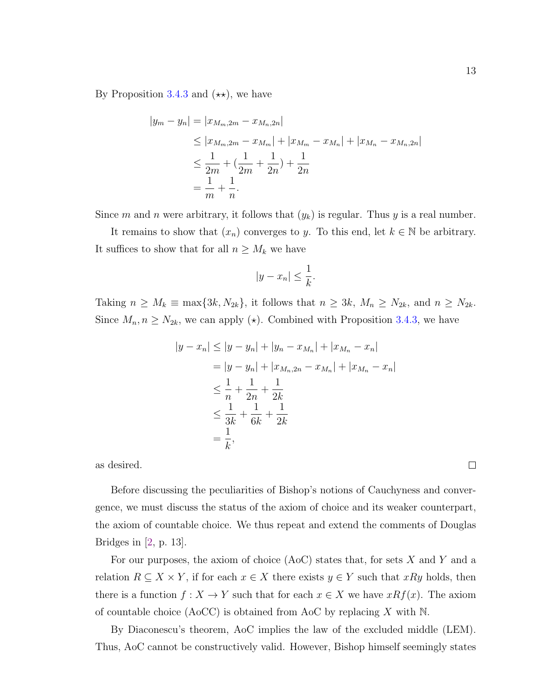By Proposition [3.4.3](#page-15-2) and  $(\star \star)$ , we have

$$
|y_m - y_n| = |x_{M_m,2m} - x_{M_n,2n}|
$$
  
\n
$$
\le |x_{M_m,2m} - x_{M_m}| + |x_{M_m} - x_{M_n}| + |x_{M_n} - x_{M_n,2n}|
$$
  
\n
$$
\le \frac{1}{2m} + (\frac{1}{2m} + \frac{1}{2n}) + \frac{1}{2n}
$$
  
\n
$$
= \frac{1}{m} + \frac{1}{n}.
$$

Since m and n were arbitrary, it follows that  $(y_k)$  is regular. Thus y is a real number.

It remains to show that  $(x_n)$  converges to y. To this end, let  $k \in \mathbb{N}$  be arbitrary. It suffices to show that for all  $n \geq M_k$  we have

$$
|y - x_n| \le \frac{1}{k}.
$$

Taking  $n \geq M_k \equiv \max\{3k, N_{2k}\}\$ , it follows that  $n \geq 3k$ ,  $M_n \geq N_{2k}$ , and  $n \geq N_{2k}$ . Since  $M_n, n \ge N_{2k}$ , we can apply ( $\star$ ). Combined with Proposition [3.4.3,](#page-15-2) we have

$$
|y - x_n| \le |y - y_n| + |y_n - x_{M_n}| + |x_{M_n} - x_n|
$$
  
=  $|y - y_n| + |x_{M_n, 2n} - x_{M_n}| + |x_{M_n} - x_n|$   
 $\le \frac{1}{n} + \frac{1}{2n} + \frac{1}{2k}$   
 $\le \frac{1}{3k} + \frac{1}{6k} + \frac{1}{2k}$   
=  $\frac{1}{k}$ ,

as desired.

Before discussing the peculiarities of Bishop's notions of Cauchyness and convergence, we must discuss the status of the axiom of choice and its weaker counterpart, the axiom of countable choice. We thus repeat and extend the comments of Douglas Bridges in [\[2,](#page-37-4) p. 13].

For our purposes, the axiom of choice  $(AoC)$  states that, for sets X and Y and a relation  $R \subseteq X \times Y$ , if for each  $x \in X$  there exists  $y \in Y$  such that  $xRy$  holds, then there is a function  $f: X \to Y$  such that for each  $x \in X$  we have  $xRf(x)$ . The axiom of countable choice (AoCC) is obtained from AoC by replacing X with  $\mathbb N$ .

By Diaconescu's theorem, AoC implies the law of the excluded middle (LEM). Thus, AoC cannot be constructively valid. However, Bishop himself seemingly states

 $\Box$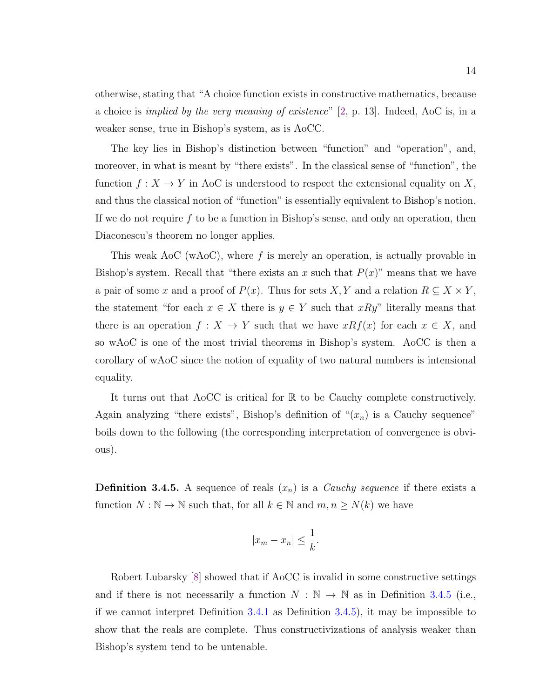otherwise, stating that "A choice function exists in constructive mathematics, because a choice is implied by the very meaning of existence" [\[2,](#page-37-4) p. 13]. Indeed, AoC is, in a weaker sense, true in Bishop's system, as is AoCC.

The key lies in Bishop's distinction between "function" and "operation", and, moreover, in what is meant by "there exists". In the classical sense of "function", the function  $f: X \to Y$  in AoC is understood to respect the extensional equality on X, and thus the classical notion of "function" is essentially equivalent to Bishop's notion. If we do not require f to be a function in Bishop's sense, and only an operation, then Diaconescu's theorem no longer applies.

This weak AoC (wAoC), where f is merely an operation, is actually provable in Bishop's system. Recall that "there exists an x such that  $P(x)$ " means that we have a pair of some x and a proof of  $P(x)$ . Thus for sets X, Y and a relation  $R \subseteq X \times Y$ , the statement "for each  $x \in X$  there is  $y \in Y$  such that  $xRy$ " literally means that there is an operation  $f: X \to Y$  such that we have  $xRf(x)$  for each  $x \in X$ , and so wAoC is one of the most trivial theorems in Bishop's system. AoCC is then a corollary of wAoC since the notion of equality of two natural numbers is intensional equality.

It turns out that AoCC is critical for R to be Cauchy complete constructively. Again analyzing "there exists", Bishop's definition of " $(x_n)$  is a Cauchy sequence" boils down to the following (the corresponding interpretation of convergence is obvious).

<span id="page-18-0"></span>**Definition 3.4.5.** A sequence of reals  $(x_n)$  is a *Cauchy sequence* if there exists a function  $N : \mathbb{N} \to \mathbb{N}$  such that, for all  $k \in \mathbb{N}$  and  $m, n \geq N(k)$  we have

$$
|x_m - x_n| \le \frac{1}{k}.
$$

Robert Lubarsky [\[8\]](#page-37-5) showed that if AoCC is invalid in some constructive settings and if there is not necessarily a function  $N : \mathbb{N} \to \mathbb{N}$  as in Definition [3.4.5](#page-18-0) (i.e., if we cannot interpret Definition [3.4.1](#page-15-1) as Definition [3.4.5\)](#page-18-0), it may be impossible to show that the reals are complete. Thus constructivizations of analysis weaker than Bishop's system tend to be untenable.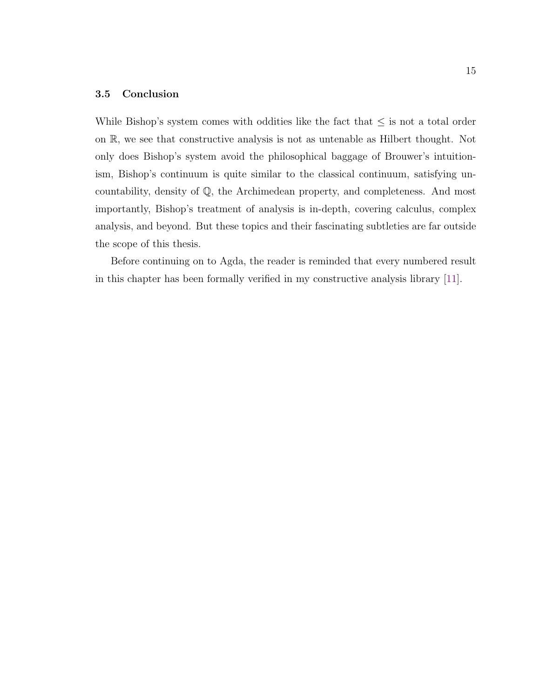# <span id="page-19-0"></span>3.5 Conclusion

While Bishop's system comes with oddities like the fact that  $\leq$  is not a total order on R, we see that constructive analysis is not as untenable as Hilbert thought. Not only does Bishop's system avoid the philosophical baggage of Brouwer's intuitionism, Bishop's continuum is quite similar to the classical continuum, satisfying uncountability, density of Q, the Archimedean property, and completeness. And most importantly, Bishop's treatment of analysis is in-depth, covering calculus, complex analysis, and beyond. But these topics and their fascinating subtleties are far outside the scope of this thesis.

Before continuing on to Agda, the reader is reminded that every numbered result in this chapter has been formally verified in my constructive analysis library [\[11\]](#page-37-2).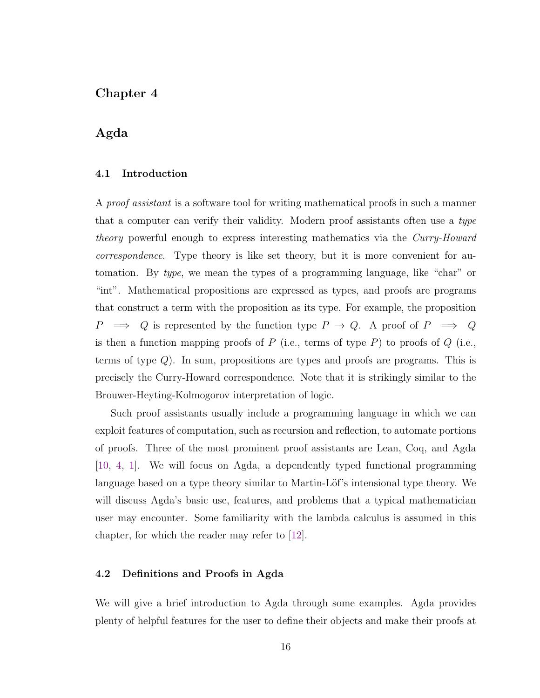# <span id="page-20-0"></span>Chapter 4

# Agda

# <span id="page-20-1"></span>4.1 Introduction

A proof assistant is a software tool for writing mathematical proofs in such a manner that a computer can verify their validity. Modern proof assistants often use a type theory powerful enough to express interesting mathematics via the Curry-Howard correspondence. Type theory is like set theory, but it is more convenient for automation. By type, we mean the types of a programming language, like "char" or "int". Mathematical propositions are expressed as types, and proofs are programs that construct a term with the proposition as its type. For example, the proposition  $P \implies Q$  is represented by the function type  $P \to Q$ . A proof of  $P \implies Q$ is then a function mapping proofs of  $P$  (i.e., terms of type  $P$ ) to proofs of  $Q$  (i.e., terms of type Q). In sum, propositions are types and proofs are programs. This is precisely the Curry-Howard correspondence. Note that it is strikingly similar to the Brouwer-Heyting-Kolmogorov interpretation of logic.

Such proof assistants usually include a programming language in which we can exploit features of computation, such as recursion and reflection, to automate portions of proofs. Three of the most prominent proof assistants are Lean, Coq, and Agda [\[10,](#page-37-6) [4,](#page-37-7) [1\]](#page-37-8). We will focus on Agda, a dependently typed functional programming language based on a type theory similar to Martin-Löf's intensional type theory. We will discuss Agda's basic use, features, and problems that a typical mathematician user may encounter. Some familiarity with the lambda calculus is assumed in this chapter, for which the reader may refer to [\[12\]](#page-37-9).

## <span id="page-20-2"></span>4.2 Definitions and Proofs in Agda

We will give a brief introduction to Agda through some examples. Agda provides plenty of helpful features for the user to define their objects and make their proofs at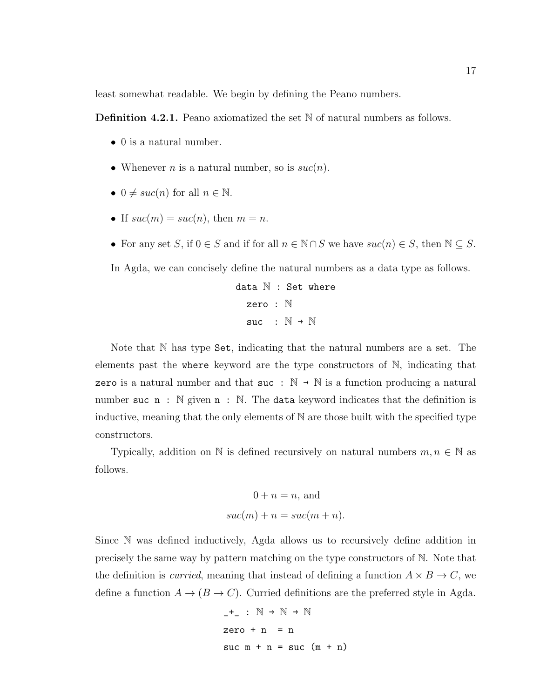least somewhat readable. We begin by defining the Peano numbers.

Definition 4.2.1. Peano axiomatized the set N of natural numbers as follows.

- 0 is a natural number.
- Whenever *n* is a natural number, so is  $suc(n)$ .
- $0 \neq succ(n)$  for all  $n \in \mathbb{N}$ .
- If  $suc(m) = suc(n)$ , then  $m = n$ .
- For any set S, if  $0 \in S$  and if for all  $n \in \mathbb{N} \cap S$  we have  $suc(n) \in S$ , then  $\mathbb{N} \subseteq S$ .

In Agda, we can concisely define the natural numbers as a data type as follows.

```
data N : Set where
   zero : N
   suc : \mathbb{N} \rightarrow \mathbb{N}
```
Note that N has type Set, indicating that the natural numbers are a set. The elements past the where keyword are the type constructors of N, indicating that zero is a natural number and that suc :  $\mathbb{N} \to \mathbb{N}$  is a function producing a natural number suc  $n : \mathbb{N}$  given  $n : \mathbb{N}$ . The data keyword indicates that the definition is inductive, meaning that the only elements of N are those built with the specified type constructors.

Typically, addition on N is defined recursively on natural numbers  $m, n \in \mathbb{N}$  as follows.

$$
0 + n = n, \text{ and}
$$

$$
suc(m) + n = suc(m + n).
$$

Since N was defined inductively, Agda allows us to recursively define addition in precisely the same way by pattern matching on the type constructors of N. Note that the definition is *curried*, meaning that instead of defining a function  $A \times B \to C$ , we define a function  $A \to (B \to C)$ . Curried definitions are the preferred style in Agda.

$$
-+_{-}: \mathbb{N} \to \mathbb{N} \to \mathbb{N}
$$
  
zero + n = n  
succ m + n = succ (m + n)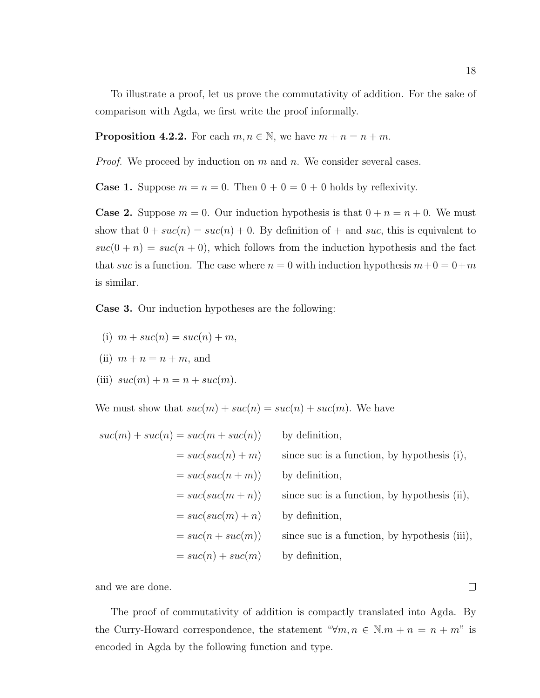To illustrate a proof, let us prove the commutativity of addition. For the sake of comparison with Agda, we first write the proof informally.

**Proposition 4.2.2.** For each  $m, n \in \mathbb{N}$ , we have  $m + n = n + m$ .

*Proof.* We proceed by induction on  $m$  and  $n$ . We consider several cases.

**Case 1.** Suppose  $m = n = 0$ . Then  $0 + 0 = 0 + 0$  holds by reflexivity.

**Case 2.** Suppose  $m = 0$ . Our induction hypothesis is that  $0 + n = n + 0$ . We must show that  $0 + succ(n) = succ(n) + 0$ . By definition of  $+$  and suc, this is equivalent to  $suc(0 + n) = suc(n + 0)$ , which follows from the induction hypothesis and the fact that suc is a function. The case where  $n = 0$  with induction hypothesis  $m+0 = 0+m$ is similar.

Case 3. Our induction hypotheses are the following:

(i) 
$$
m + suc(n) = suc(n) + m,
$$

(ii) 
$$
m + n = n + m
$$
, and

(iii) 
$$
suc(m) + n = n + suc(m).
$$

We must show that  $suc(m) + suc(n) = suc(n) + suc(m)$ . We have

| $suc(m) + suc(n) = suc(m + suc(n))$ | by definition,                                 |
|-------------------------------------|------------------------------------------------|
| $= succ(suc(n)+m)$                  | since suc is a function, by hypothesis $(i)$ , |
| $= succ(suc(n+m))$                  | by definition,                                 |
| $= succ(suc(m+n))$                  | since suc is a function, by hypothesis (ii),   |
| $= succ(suc(m)+n)$                  | by definition,                                 |
| $= succ(n+succ(m))$                 | since suc is a function, by hypothesis (iii),  |
| $= succ(n)+ succ(m)$                | by definition,                                 |

and we are done.

The proof of commutativity of addition is compactly translated into Agda. By the Curry-Howard correspondence, the statement " $\forall m, n \in \mathbb{N} \ldots m + n = n + m$ " is encoded in Agda by the following function and type.

 $\Box$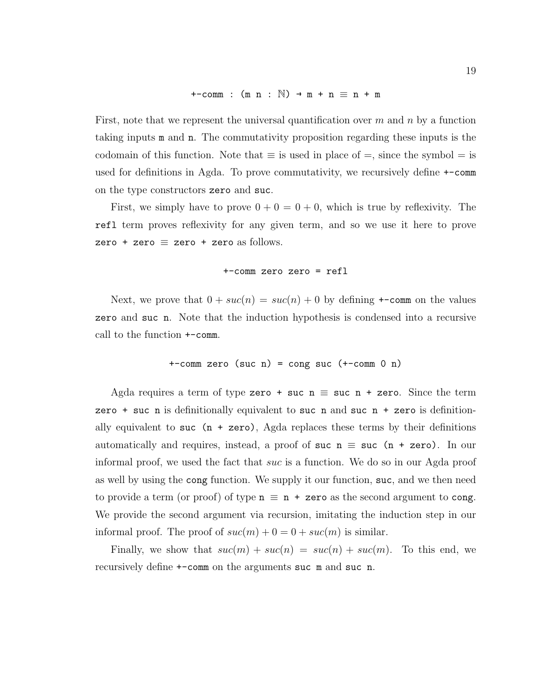## $+$ -comm :  $(m n : \mathbb{N})$   $\rightarrow$   $m + n \equiv n + m$

First, note that we represent the universal quantification over  $m$  and  $n$  by a function taking inputs m and n. The commutativity proposition regarding these inputs is the codomain of this function. Note that  $\equiv$  is used in place of  $=$ , since the symbol  $=$  is used for definitions in Agda. To prove commutativity, we recursively define +-comm on the type constructors zero and suc.

First, we simply have to prove  $0 + 0 = 0 + 0$ , which is true by reflexivity. The refl term proves reflexivity for any given term, and so we use it here to prove zero + zero  $\equiv$  zero + zero as follows.

### +-comm zero zero = refl

Next, we prove that  $0 + succ(n) = succ(n) + 0$  by defining  $\text{--comm}$  on the values zero and suc n. Note that the induction hypothesis is condensed into a recursive call to the function +-comm.

$$
\verb|+|comm zero (suc n) = cong suc (+-comm 0 n)|
$$

Agda requires a term of type zero + suc  $n \equiv$  suc  $n +$  zero. Since the term zero  $+$  suc n is definitionally equivalent to suc n and suc n  $+$  zero is definitionally equivalent to suc  $(n + zero)$ , Agda replaces these terms by their definitions automatically and requires, instead, a proof of suc  $n \equiv$  suc  $(n + zero)$ . In our informal proof, we used the fact that suc is a function. We do so in our Agda proof as well by using the cong function. We supply it our function, suc, and we then need to provide a term (or proof) of type  $n \equiv n + z$ ero as the second argument to cong. We provide the second argument via recursion, imitating the induction step in our informal proof. The proof of  $suc(m) + 0 = 0 + suc(m)$  is similar.

Finally, we show that  $suc(m) + suc(n) = suc(n) + suc(m)$ . To this end, we recursively define +-comm on the arguments suc m and suc n.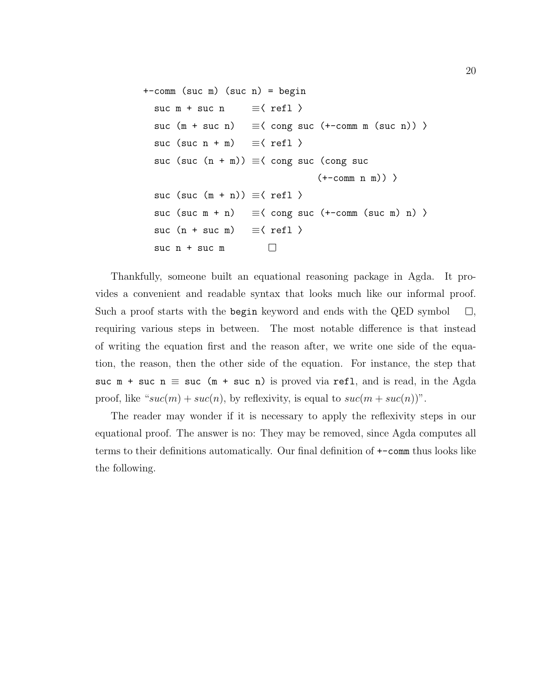```
+-comm (suc m) (suc n) = begin
  suc m + suc n = \langle ref1 \ranglesuc (m + suc n) \equiv \langle cong suc (+-comm m (suc n)) \ranglesuc (suc n + m) \equiv (refl )
  suc (suc (n + m)) \equiv \langle cong suc (cong suc
                                      (+-comm n m))suc (suc (m + n)) \equiv \langle ref1 \ranglesuc (suc m + n) \equiv < cong suc (+-comm (suc m) n) >
  suc (n + suc m) \equiv (refl )
                           \Boxsuc n + suc m
```
Thankfully, someone built an equational reasoning package in Agda. It provides a convenient and readable syntax that looks much like our informal proof. Such a proof starts with the begin keyword and ends with the QED symbol  $\Box$ , requiring various steps in between. The most notable difference is that instead of writing the equation first and the reason after, we write one side of the equation, the reason, then the other side of the equation. For instance, the step that suc  $m +$  suc  $n \equiv$  suc  $(m +$  suc n) is proved via refl, and is read, in the Agda proof, like " $suc(m) + suc(n)$ , by reflexivity, is equal to  $suc(m + suc(n))$ ".

The reader may wonder if it is necessary to apply the reflexivity steps in our equational proof. The answer is no: They may be removed, since Agda computes all terms to their definitions automatically. Our final definition of +-comm thus looks like the following.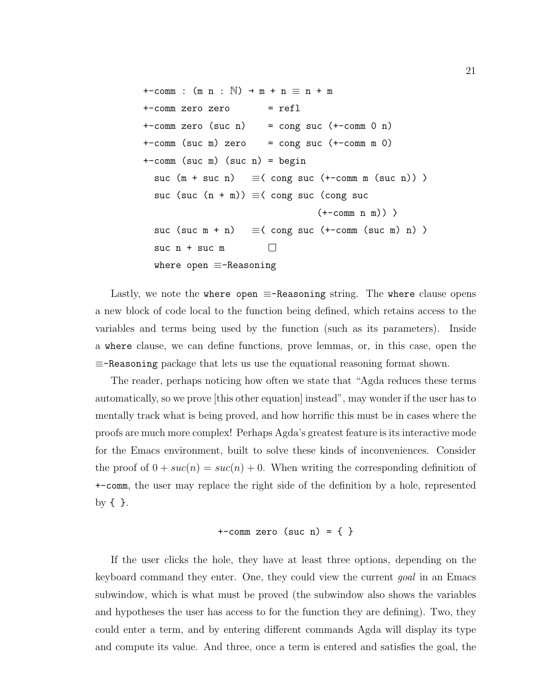```
+-comm : (m n : \mathbb{N}) \rightarrow m + n \equiv n + m+-comm zero zero = refl
+-comm zero (suc n) = cong suc (+-comm 0 n)
+-comm (suc m) zero = cong suc (+-comm m 0)
+-comm (suc m) (suc n) = begin
  suc (m + \text{succ n}) \equiv \langle cong suc (+\text{comm m} (\text{succ n}) ) \ranglesuc (suc (n + m)) \equiv \langle cong suc (cong suc
                                      (+-comm n m))suc (suc m + n) \equiv \langle cong suc (+-comm (suc m) n) \ranglesuc n + suc m
                           \Boxwhere open ≡-Reasoning
```
Lastly, we note the where open  $\equiv$ -Reasoning string. The where clause opens a new block of code local to the function being defined, which retains access to the variables and terms being used by the function (such as its parameters). Inside a where clause, we can define functions, prove lemmas, or, in this case, open the ≡-Reasoning package that lets us use the equational reasoning format shown.

The reader, perhaps noticing how often we state that "Agda reduces these terms automatically, so we prove [this other equation] instead", may wonder if the user has to mentally track what is being proved, and how horrific this must be in cases where the proofs are much more complex! Perhaps Agda's greatest feature is its interactive mode for the Emacs environment, built to solve these kinds of inconveniences. Consider the proof of  $0 + succ(n) = succ(n) + 0$ . When writing the corresponding definition of +-comm, the user may replace the right side of the definition by a hole, represented by { }.

# $+$ -comm zero (suc n) = { }

If the user clicks the hole, they have at least three options, depending on the keyboard command they enter. One, they could view the current goal in an Emacs subwindow, which is what must be proved (the subwindow also shows the variables and hypotheses the user has access to for the function they are defining). Two, they could enter a term, and by entering different commands Agda will display its type and compute its value. And three, once a term is entered and satisfies the goal, the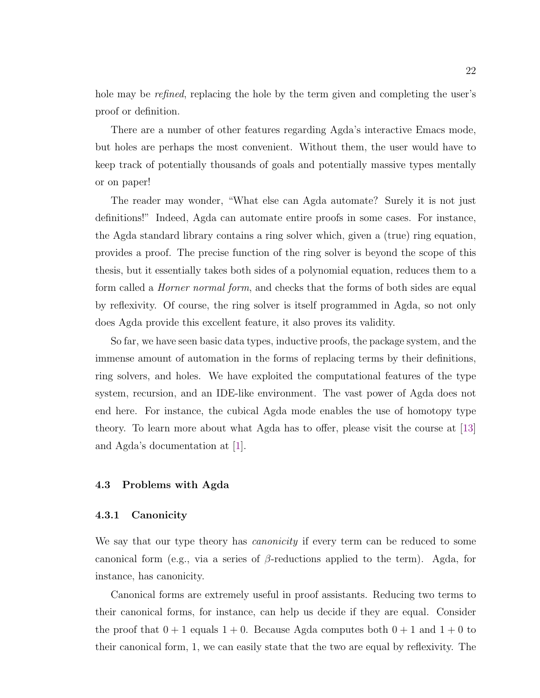hole may be *refined*, replacing the hole by the term given and completing the user's proof or definition.

There are a number of other features regarding Agda's interactive Emacs mode, but holes are perhaps the most convenient. Without them, the user would have to keep track of potentially thousands of goals and potentially massive types mentally or on paper!

The reader may wonder, "What else can Agda automate? Surely it is not just definitions!" Indeed, Agda can automate entire proofs in some cases. For instance, the Agda standard library contains a ring solver which, given a (true) ring equation, provides a proof. The precise function of the ring solver is beyond the scope of this thesis, but it essentially takes both sides of a polynomial equation, reduces them to a form called a *Horner normal form*, and checks that the forms of both sides are equal by reflexivity. Of course, the ring solver is itself programmed in Agda, so not only does Agda provide this excellent feature, it also proves its validity.

So far, we have seen basic data types, inductive proofs, the package system, and the immense amount of automation in the forms of replacing terms by their definitions, ring solvers, and holes. We have exploited the computational features of the type system, recursion, and an IDE-like environment. The vast power of Agda does not end here. For instance, the cubical Agda mode enables the use of homotopy type theory. To learn more about what Agda has to offer, please visit the course at [\[13\]](#page-38-0) and Agda's documentation at [\[1\]](#page-37-8).

### <span id="page-26-0"></span>4.3 Problems with Agda

### <span id="page-26-1"></span>4.3.1 Canonicity

We say that our type theory has *canonicity* if every term can be reduced to some canonical form (e.g., via a series of  $\beta$ -reductions applied to the term). Agda, for instance, has canonicity.

Canonical forms are extremely useful in proof assistants. Reducing two terms to their canonical forms, for instance, can help us decide if they are equal. Consider the proof that  $0 + 1$  equals  $1 + 0$ . Because Agda computes both  $0 + 1$  and  $1 + 0$  to their canonical form, 1, we can easily state that the two are equal by reflexivity. The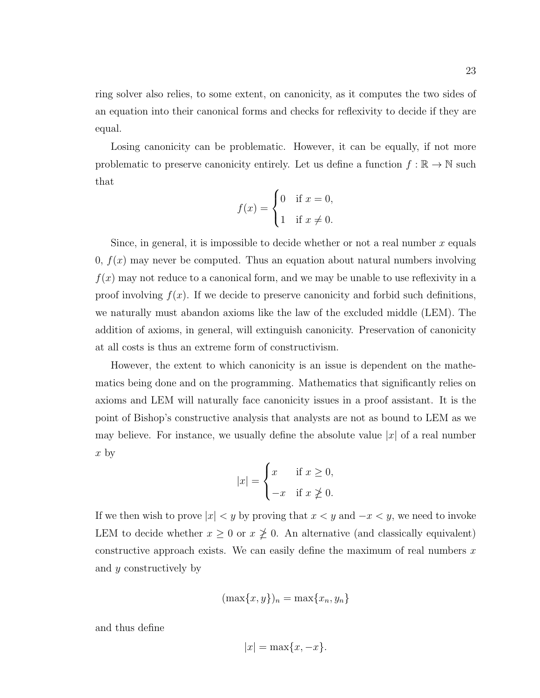ring solver also relies, to some extent, on canonicity, as it computes the two sides of an equation into their canonical forms and checks for reflexivity to decide if they are equal.

Losing canonicity can be problematic. However, it can be equally, if not more problematic to preserve canonicity entirely. Let us define a function  $f : \mathbb{R} \to \mathbb{N}$  such that

$$
f(x) = \begin{cases} 0 & \text{if } x = 0, \\ 1 & \text{if } x \neq 0. \end{cases}
$$

Since, in general, it is impossible to decide whether or not a real number  $x$  equals 0,  $f(x)$  may never be computed. Thus an equation about natural numbers involving  $f(x)$  may not reduce to a canonical form, and we may be unable to use reflexivity in a proof involving  $f(x)$ . If we decide to preserve canonicity and forbid such definitions, we naturally must abandon axioms like the law of the excluded middle (LEM). The addition of axioms, in general, will extinguish canonicity. Preservation of canonicity at all costs is thus an extreme form of constructivism.

However, the extent to which canonicity is an issue is dependent on the mathematics being done and on the programming. Mathematics that significantly relies on axioms and LEM will naturally face canonicity issues in a proof assistant. It is the point of Bishop's constructive analysis that analysts are not as bound to LEM as we may believe. For instance, we usually define the absolute value  $|x|$  of a real number  $x$  by

$$
|x| = \begin{cases} x & \text{if } x \ge 0, \\ -x & \text{if } x \not\ge 0. \end{cases}
$$

If we then wish to prove  $|x| < y$  by proving that  $x < y$  and  $-x < y$ , we need to invoke LEM to decide whether  $x \geq 0$  or  $x \not\geq 0$ . An alternative (and classically equivalent) constructive approach exists. We can easily define the maximum of real numbers  $x$ and y constructively by

$$
(\max\{x,y\})_n = \max\{x_n,y_n\}
$$

and thus define

$$
|x| = \max\{x, -x\}.
$$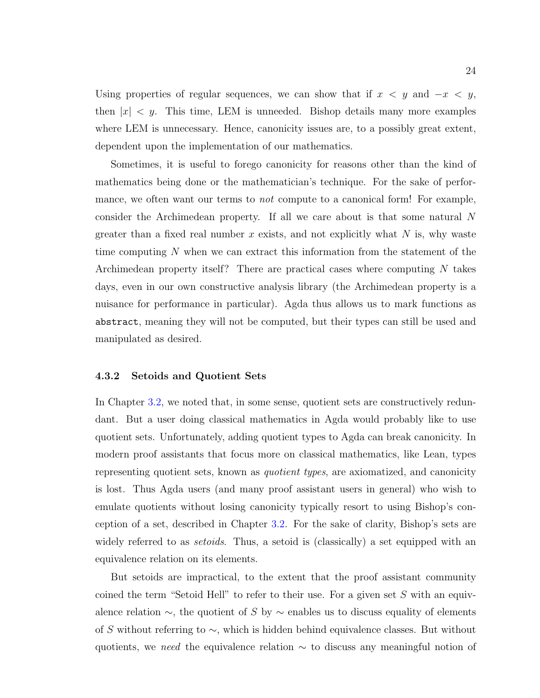Using properties of regular sequences, we can show that if  $x < y$  and  $-x < y$ , then  $|x| < y$ . This time, LEM is unneeded. Bishop details many more examples where LEM is unnecessary. Hence, canonicity issues are, to a possibly great extent, dependent upon the implementation of our mathematics.

Sometimes, it is useful to forego canonicity for reasons other than the kind of mathematics being done or the mathematician's technique. For the sake of performance, we often want our terms to *not* compute to a canonical form! For example, consider the Archimedean property. If all we care about is that some natural N greater than a fixed real number x exists, and not explicitly what  $N$  is, why waste time computing  $N$  when we can extract this information from the statement of the Archimedean property itself? There are practical cases where computing  $N$  takes days, even in our own constructive analysis library (the Archimedean property is a nuisance for performance in particular). Agda thus allows us to mark functions as abstract, meaning they will not be computed, but their types can still be used and manipulated as desired.

#### <span id="page-28-0"></span>4.3.2 Setoids and Quotient Sets

In Chapter [3.2,](#page-10-2) we noted that, in some sense, quotient sets are constructively redundant. But a user doing classical mathematics in Agda would probably like to use quotient sets. Unfortunately, adding quotient types to Agda can break canonicity. In modern proof assistants that focus more on classical mathematics, like Lean, types representing quotient sets, known as *quotient types*, are axiomatized, and canonicity is lost. Thus Agda users (and many proof assistant users in general) who wish to emulate quotients without losing canonicity typically resort to using Bishop's conception of a set, described in Chapter [3.2.](#page-10-2) For the sake of clarity, Bishop's sets are widely referred to as *setoids*. Thus, a setoid is (classically) a set equipped with an equivalence relation on its elements.

But setoids are impractical, to the extent that the proof assistant community coined the term "Setoid Hell" to refer to their use. For a given set  $S$  with an equivalence relation  $\sim$ , the quotient of S by  $\sim$  enables us to discuss equality of elements of S without referring to  $\sim$ , which is hidden behind equivalence classes. But without quotients, we need the equivalence relation  $\sim$  to discuss any meaningful notion of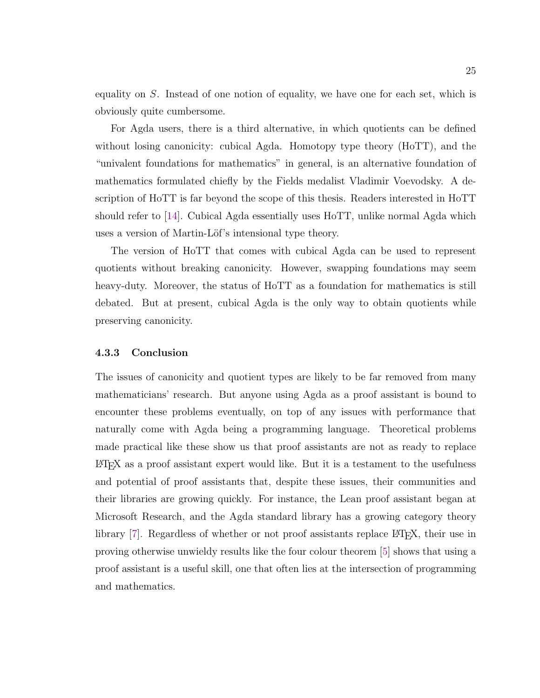equality on S. Instead of one notion of equality, we have one for each set, which is obviously quite cumbersome.

For Agda users, there is a third alternative, in which quotients can be defined without losing canonicity: cubical Agda. Homotopy type theory (HoTT), and the "univalent foundations for mathematics" in general, is an alternative foundation of mathematics formulated chiefly by the Fields medalist Vladimir Voevodsky. A description of HoTT is far beyond the scope of this thesis. Readers interested in HoTT should refer to [\[14\]](#page-38-1). Cubical Agda essentially uses HoTT, unlike normal Agda which uses a version of Martin-Löf's intensional type theory.

The version of HoTT that comes with cubical Agda can be used to represent quotients without breaking canonicity. However, swapping foundations may seem heavy-duty. Moreover, the status of HoTT as a foundation for mathematics is still debated. But at present, cubical Agda is the only way to obtain quotients while preserving canonicity.

### <span id="page-29-0"></span>4.3.3 Conclusion

The issues of canonicity and quotient types are likely to be far removed from many mathematicians' research. But anyone using Agda as a proof assistant is bound to encounter these problems eventually, on top of any issues with performance that naturally come with Agda being a programming language. Theoretical problems made practical like these show us that proof assistants are not as ready to replace LATEX as a proof assistant expert would like. But it is a testament to the usefulness and potential of proof assistants that, despite these issues, their communities and their libraries are growing quickly. For instance, the Lean proof assistant began at Microsoft Research, and the Agda standard library has a growing category theory library [\[7\]](#page-37-10). Regardless of whether or not proof assistants replace LAT<sub>EX</sub>, their use in proving otherwise unwieldy results like the four colour theorem [\[5\]](#page-37-1) shows that using a proof assistant is a useful skill, one that often lies at the intersection of programming and mathematics.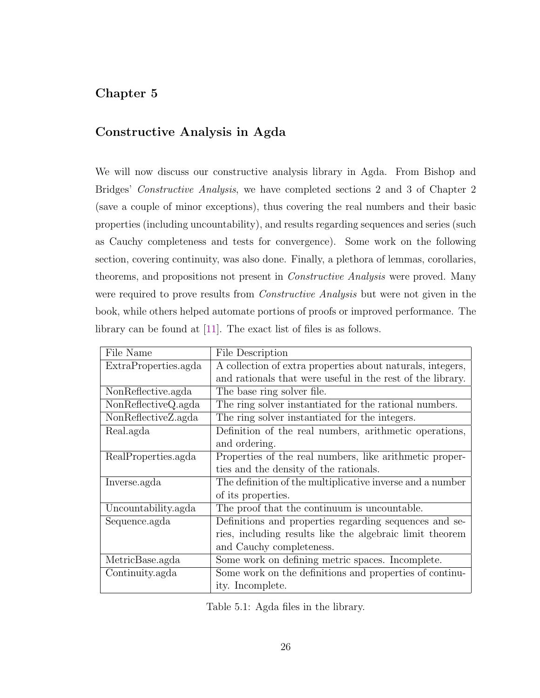# <span id="page-30-0"></span>Chapter 5

# Constructive Analysis in Agda

We will now discuss our constructive analysis library in Agda. From Bishop and Bridges' Constructive Analysis, we have completed sections 2 and 3 of Chapter 2 (save a couple of minor exceptions), thus covering the real numbers and their basic properties (including uncountability), and results regarding sequences and series (such as Cauchy completeness and tests for convergence). Some work on the following section, covering continuity, was also done. Finally, a plethora of lemmas, corollaries, theorems, and propositions not present in *Constructive Analysis* were proved. Many were required to prove results from *Constructive Analysis* but were not given in the book, while others helped automate portions of proofs or improved performance. The library can be found at [\[11\]](#page-37-2). The exact list of files is as follows.

| File Name            | File Description                                           |
|----------------------|------------------------------------------------------------|
| ExtraProperties.agda | A collection of extra properties about naturals, integers, |
|                      | and rationals that were useful in the rest of the library. |
| NonReflective.agda   | The base ring solver file.                                 |
| NonReflectiveQ.agda  | The ring solver instantiated for the rational numbers.     |
| NonReflectiveZ.agda  | The ring solver instantiated for the integers.             |
| Real.agda            | Definition of the real numbers, arithmetic operations,     |
|                      | and ordering.                                              |
| RealProperties.agda  | Properties of the real numbers, like arithmetic proper-    |
|                      | ties and the density of the rationals.                     |
| Inverse.agda         | The definition of the multiplicative inverse and a number  |
|                      | of its properties.                                         |
| Uncountability.agda  | The proof that the continuum is uncountable.               |
| Sequence.agda        | Definitions and properties regarding sequences and se-     |
|                      | ries, including results like the algebraic limit theorem   |
|                      | and Cauchy completeness.                                   |
| MetricBase.agda      | Some work on defining metric spaces. Incomplete.           |
| Continuity.agda      | Some work on the definitions and properties of continu-    |
|                      | ity. Incomplete.                                           |

Table 5.1: Agda files in the library.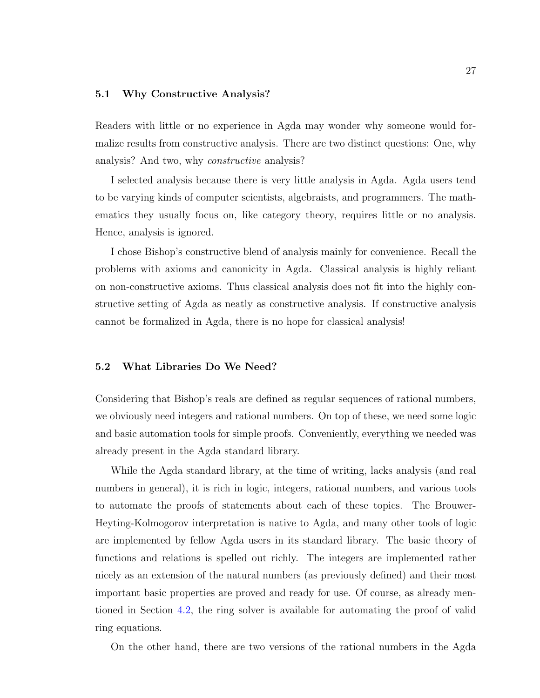## <span id="page-31-0"></span>5.1 Why Constructive Analysis?

Readers with little or no experience in Agda may wonder why someone would formalize results from constructive analysis. There are two distinct questions: One, why analysis? And two, why constructive analysis?

I selected analysis because there is very little analysis in Agda. Agda users tend to be varying kinds of computer scientists, algebraists, and programmers. The mathematics they usually focus on, like category theory, requires little or no analysis. Hence, analysis is ignored.

I chose Bishop's constructive blend of analysis mainly for convenience. Recall the problems with axioms and canonicity in Agda. Classical analysis is highly reliant on non-constructive axioms. Thus classical analysis does not fit into the highly constructive setting of Agda as neatly as constructive analysis. If constructive analysis cannot be formalized in Agda, there is no hope for classical analysis!

#### <span id="page-31-1"></span>5.2 What Libraries Do We Need?

Considering that Bishop's reals are defined as regular sequences of rational numbers, we obviously need integers and rational numbers. On top of these, we need some logic and basic automation tools for simple proofs. Conveniently, everything we needed was already present in the Agda standard library.

While the Agda standard library, at the time of writing, lacks analysis (and real numbers in general), it is rich in logic, integers, rational numbers, and various tools to automate the proofs of statements about each of these topics. The Brouwer-Heyting-Kolmogorov interpretation is native to Agda, and many other tools of logic are implemented by fellow Agda users in its standard library. The basic theory of functions and relations is spelled out richly. The integers are implemented rather nicely as an extension of the natural numbers (as previously defined) and their most important basic properties are proved and ready for use. Of course, as already mentioned in Section [4.2,](#page-20-2) the ring solver is available for automating the proof of valid ring equations.

On the other hand, there are two versions of the rational numbers in the Agda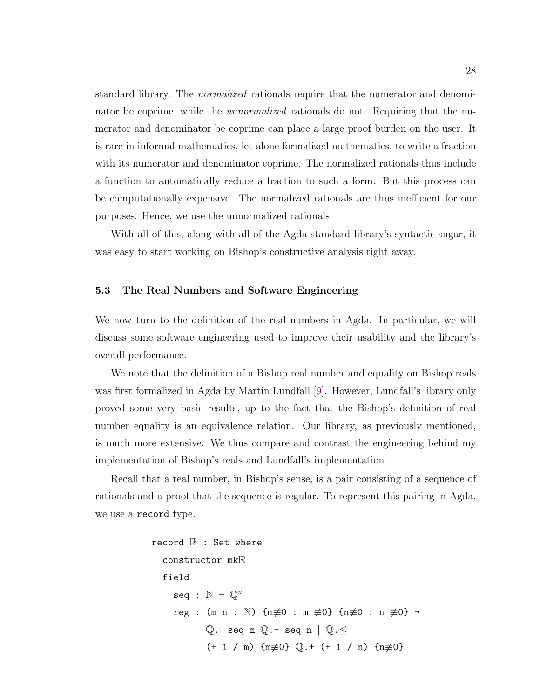standard library. The normalized rationals require that the numerator and denominator be coprime, while the *unnormalized* rationals do not. Requiring that the numerator and denominator be coprime can place a large proof burden on the user. It is rare in informal mathematics, let alone formalized mathematics, to write a fraction with its numerator and denominator coprime. The normalized rationals thus include a function to automatically reduce a fraction to such a form. But this process can be computationally expensive. The normalized rationals are thus inefficient for our purposes. Hence, we use the unnormalized rationals.

With all of this, along with all of the Agda standard library's syntactic sugar, it was easy to start working on Bishop's constructive analysis right away.

## <span id="page-32-0"></span>5.3 The Real Numbers and Software Engineering

We now turn to the definition of the real numbers in Agda. In particular, we will discuss some software engineering used to improve their usability and the library's overall performance.

We note that the definition of a Bishop real number and equality on Bishop reals was first formalized in Agda by Martin Lundfall [\[9\]](#page-37-11). However, Lundfall's library only proved some very basic results, up to the fact that the Bishop's definition of real number equality is an equivalence relation. Our library, as previously mentioned, is much more extensive. We thus compare and contrast the engineering behind my implementation of Bishop's reals and Lundfall's implementation.

Recall that a real number, in Bishop's sense, is a pair consisting of a sequence of rationals and a proof that the sequence is regular. To represent this pairing in Agda, we use a record type.

```
record \mathbb R : Set where
   constructor mkR
   field
      seq : \mathbb{N} \rightarrow \mathbb{O}^ureg : (m n : N) {m\neq0 : m \neq0} {n\neq0 : n \neq0} →
               \mathbb{Q}. seq m \mathbb{Q}. - seq n \mathbb{Q}. \leq(+ 1 / m) {m\neq0} \mathbb{Q}. + (+ 1 / n) {n\neq0}
```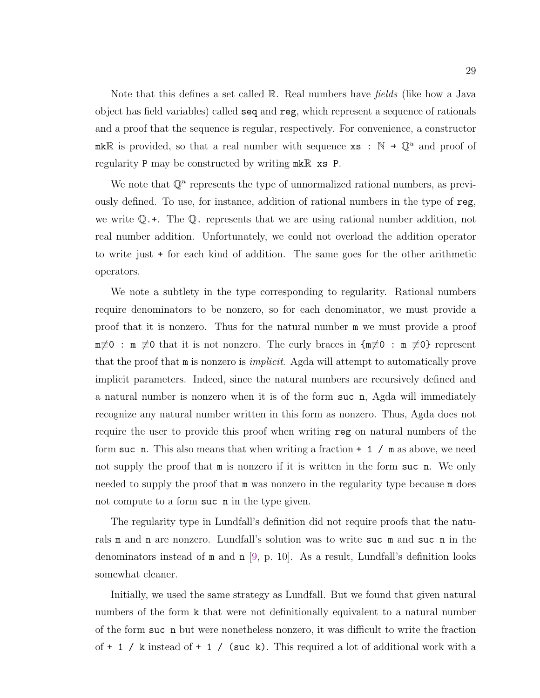Note that this defines a set called  $\mathbb{R}$ . Real numbers have fields (like how a Java object has field variables) called seq and reg, which represent a sequence of rationals and a proof that the sequence is regular, respectively. For convenience, a constructor mkR is provided, so that a real number with sequence  $\mathbf{x} \mathbf{s} : \mathbb{N} \to \mathbb{Q}^u$  and proof of regularity P may be constructed by writing  $m k \mathbb{R}$  xs P.

We note that  $\mathbb{Q}^u$  represents the type of unnormalized rational numbers, as previously defined. To use, for instance, addition of rational numbers in the type of reg, we write  $\mathbb{Q}.$ . The  $\mathbb{Q}$ . represents that we are using rational number addition, not real number addition. Unfortunately, we could not overload the addition operator to write just + for each kind of addition. The same goes for the other arithmetic operators.

We note a subtlety in the type corresponding to regularity. Rational numbers require denominators to be nonzero, so for each denominator, we must provide a proof that it is nonzero. Thus for the natural number m we must provide a proof m≢0 : m ≢0 that it is not nonzero. The curly braces in  $\{m\neq 0$  : m  $\neq 0\}$  represent that the proof that **m** is nonzero is *implicit*. Agda will attempt to automatically prove implicit parameters. Indeed, since the natural numbers are recursively defined and a natural number is nonzero when it is of the form suc n, Agda will immediately recognize any natural number written in this form as nonzero. Thus, Agda does not require the user to provide this proof when writing reg on natural numbers of the form suc n. This also means that when writing a fraction  $+1$  / m as above, we need not supply the proof that **m** is nonzero if it is written in the form suc **n**. We only needed to supply the proof that m was nonzero in the regularity type because m does not compute to a form suc **n** in the type given.

The regularity type in Lundfall's definition did not require proofs that the naturals m and n are nonzero. Lundfall's solution was to write suc m and suc n in the denominators instead of m and n [\[9,](#page-37-11) p. 10]. As a result, Lundfall's definition looks somewhat cleaner.

Initially, we used the same strategy as Lundfall. But we found that given natural numbers of the form k that were not definitionally equivalent to a natural number of the form suc n but were nonetheless nonzero, it was difficult to write the fraction of  $+ 1$  / k instead of  $+ 1$  / (suc k). This required a lot of additional work with a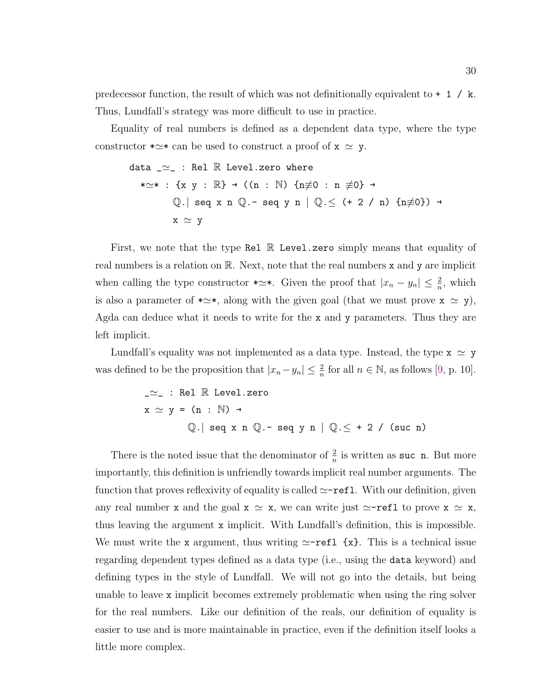predecessor function, the result of which was not definitionally equivalent to  $+1$  / k. Thus, Lundfall's strategy was more difficult to use in practice.

Equality of real numbers is defined as a dependent data type, where the type constructor  $*\simeq*$  can be used to construct a proof of  $x \simeq y$ .

data \_>\_ : Rel ℝ Level-zero where  
\n
$$
*\simeq *
$$
 : {x y : ℝ} → ((n : ℕ) {n≠0 : n ≠0} →  
\nQ. | seq x n Q.- seq y n | Q. ≤ (+ 2 / n) {n≠0}) →  
\n $x \simeq y$ 

First, we note that the type Rel R Level.zero simply means that equality of real numbers is a relation on  $\mathbb R$ . Next, note that the real numbers x and y are implicit when calling the type constructor  $*\simeq*$ . Given the proof that  $|x_n - y_n| \leq \frac{2}{n}$ , which is also a parameter of  $*\simeq$ , along with the given goal (that we must prove  $x \simeq y$ ), Agda can deduce what it needs to write for the x and y parameters. Thus they are left implicit.

Lundfall's equality was not implemented as a data type. Instead, the type  $x \approx y$ was defined to be the proposition that  $|x_n - y_n| \leq \frac{2}{n}$  for all  $n \in \mathbb{N}$ , as follows [\[9,](#page-37-11) p. 10].

$$
\begin{array}{l}\n\tilde{\neg} \cong \bot : \text{Rel } \mathbb{R} \text{ Level}.\text{zero} \\
x \simeq y = (n : \mathbb{N}) \rightarrow \\
\mathbb{Q}.| \text{ seq } x \text{ n } \mathbb{Q}. \neg \text{ seq } y \text{ n } | \mathbb{Q}. \leq + 2 / (\text{succ n})\n\end{array}
$$

There is the noted issue that the denominator of  $\frac{2}{n}$  is written as suc n. But more importantly, this definition is unfriendly towards implicit real number arguments. The function that proves reflexivity of equality is called  $\simeq$ -refl. With our definition, given any real number x and the goal  $x \approx x$ , we can write just  $\simeq$ -refl to prove  $x \approx x$ , thus leaving the argument x implicit. With Lundfall's definition, this is impossible. We must write the x argument, thus writing  $\simeq$ -refl  $\{x\}$ . This is a technical issue regarding dependent types defined as a data type (i.e., using the data keyword) and defining types in the style of Lundfall. We will not go into the details, but being unable to leave x implicit becomes extremely problematic when using the ring solver for the real numbers. Like our definition of the reals, our definition of equality is easier to use and is more maintainable in practice, even if the definition itself looks a little more complex.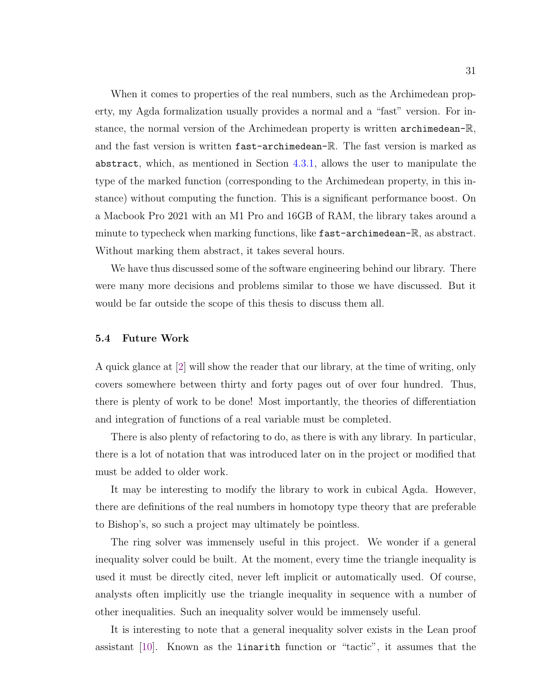When it comes to properties of the real numbers, such as the Archimedean property, my Agda formalization usually provides a normal and a "fast" version. For instance, the normal version of the Archimedean property is written archimedean-R, and the fast version is written fast-archimedean-R. The fast version is marked as abstract, which, as mentioned in Section [4.3.1,](#page-26-1) allows the user to manipulate the type of the marked function (corresponding to the Archimedean property, in this instance) without computing the function. This is a significant performance boost. On a Macbook Pro 2021 with an M1 Pro and 16GB of RAM, the library takes around a minute to typecheck when marking functions, like fast-archimedean-R, as abstract. Without marking them abstract, it takes several hours.

We have thus discussed some of the software engineering behind our library. There were many more decisions and problems similar to those we have discussed. But it would be far outside the scope of this thesis to discuss them all.

### <span id="page-35-0"></span>5.4 Future Work

A quick glance at [\[2\]](#page-37-4) will show the reader that our library, at the time of writing, only covers somewhere between thirty and forty pages out of over four hundred. Thus, there is plenty of work to be done! Most importantly, the theories of differentiation and integration of functions of a real variable must be completed.

There is also plenty of refactoring to do, as there is with any library. In particular, there is a lot of notation that was introduced later on in the project or modified that must be added to older work.

It may be interesting to modify the library to work in cubical Agda. However, there are definitions of the real numbers in homotopy type theory that are preferable to Bishop's, so such a project may ultimately be pointless.

The ring solver was immensely useful in this project. We wonder if a general inequality solver could be built. At the moment, every time the triangle inequality is used it must be directly cited, never left implicit or automatically used. Of course, analysts often implicitly use the triangle inequality in sequence with a number of other inequalities. Such an inequality solver would be immensely useful.

It is interesting to note that a general inequality solver exists in the Lean proof assistant [\[10\]](#page-37-6). Known as the linarith function or "tactic", it assumes that the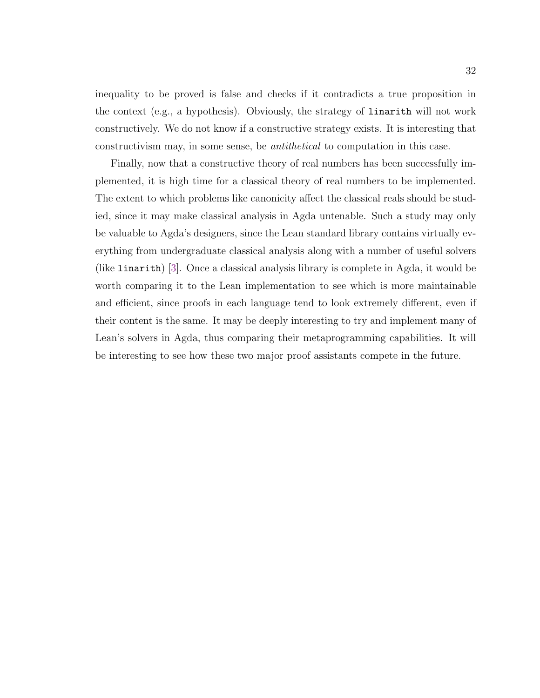inequality to be proved is false and checks if it contradicts a true proposition in the context (e.g., a hypothesis). Obviously, the strategy of linarith will not work constructively. We do not know if a constructive strategy exists. It is interesting that constructivism may, in some sense, be antithetical to computation in this case.

Finally, now that a constructive theory of real numbers has been successfully implemented, it is high time for a classical theory of real numbers to be implemented. The extent to which problems like canonicity affect the classical reals should be studied, since it may make classical analysis in Agda untenable. Such a study may only be valuable to Agda's designers, since the Lean standard library contains virtually everything from undergraduate classical analysis along with a number of useful solvers (like linarith) [\[3\]](#page-37-12). Once a classical analysis library is complete in Agda, it would be worth comparing it to the Lean implementation to see which is more maintainable and efficient, since proofs in each language tend to look extremely different, even if their content is the same. It may be deeply interesting to try and implement many of Lean's solvers in Agda, thus comparing their metaprogramming capabilities. It will be interesting to see how these two major proof assistants compete in the future.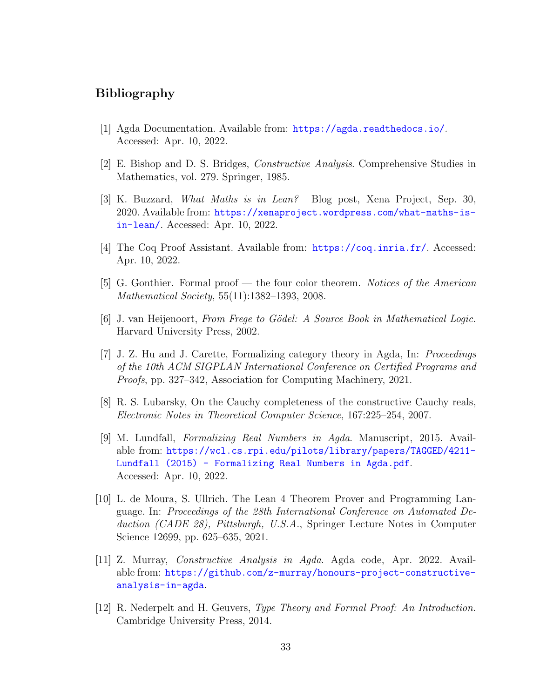# <span id="page-37-0"></span>Bibliography

- <span id="page-37-8"></span>[1] Agda Documentation. Available from: <https://agda.readthedocs.io/>. Accessed: Apr. 10, 2022.
- <span id="page-37-4"></span>[2] E. Bishop and D. S. Bridges, Constructive Analysis. Comprehensive Studies in Mathematics, vol. 279. Springer, 1985.
- <span id="page-37-12"></span>[3] K. Buzzard, What Maths is in Lean? Blog post, Xena Project, Sep. 30, 2020. Available from: [https://xenaproject.wordpress.com/what-maths-is](https://xenaproject.wordpress.com/what-maths-is-in-lean/)[in-lean/](https://xenaproject.wordpress.com/what-maths-is-in-lean/). Accessed: Apr. 10, 2022.
- <span id="page-37-7"></span>[4] The Coq Proof Assistant. Available from: <https://coq.inria.fr/>. Accessed: Apr. 10, 2022.
- <span id="page-37-1"></span> $[5]$  G. Gonthier. Formal proof — the four color theorem. Notices of the American Mathematical Society, 55(11):1382–1393, 2008.
- <span id="page-37-3"></span>[6] J. van Heijenoort, From Frege to Gödel: A Source Book in Mathematical Logic. Harvard University Press, 2002.
- <span id="page-37-10"></span>[7] J. Z. Hu and J. Carette, Formalizing category theory in Agda, In: Proceedings of the 10th ACM SIGPLAN International Conference on Certified Programs and Proofs, pp. 327–342, Association for Computing Machinery, 2021.
- <span id="page-37-5"></span>[8] R. S. Lubarsky, On the Cauchy completeness of the constructive Cauchy reals, Electronic Notes in Theoretical Computer Science, 167:225–254, 2007.
- <span id="page-37-11"></span>[9] M. Lundfall, Formalizing Real Numbers in Agda. Manuscript, 2015. Available from: [https://wcl.cs.rpi.edu/pilots/library/papers/TAGGED/4211-](https://wcl.cs.rpi.edu/pilots/library/papers/TAGGED/4211-Lundfall (2015) - Formalizing Real Numbers in Agda.pdf) [Lundfall \(2015\) - Formalizing Real Numbers in Agda.pdf](https://wcl.cs.rpi.edu/pilots/library/papers/TAGGED/4211-Lundfall (2015) - Formalizing Real Numbers in Agda.pdf). Accessed: Apr. 10, 2022.
- <span id="page-37-6"></span>[10] L. de Moura, S. Ullrich. The Lean 4 Theorem Prover and Programming Language. In: Proceedings of the 28th International Conference on Automated Deduction (CADE 28), Pittsburgh, U.S.A., Springer Lecture Notes in Computer Science 12699, pp. 625–635, 2021.
- <span id="page-37-2"></span>[11] Z. Murray, Constructive Analysis in Agda. Agda code, Apr. 2022. Available from: [https://github.com/z-murray/honours-project-constructive](https://github.com/z-murray/honours-project-constructive-analysis-in-agda)[analysis-in-agda](https://github.com/z-murray/honours-project-constructive-analysis-in-agda).
- <span id="page-37-9"></span>[12] R. Nederpelt and H. Geuvers, Type Theory and Formal Proof: An Introduction. Cambridge University Press, 2014.